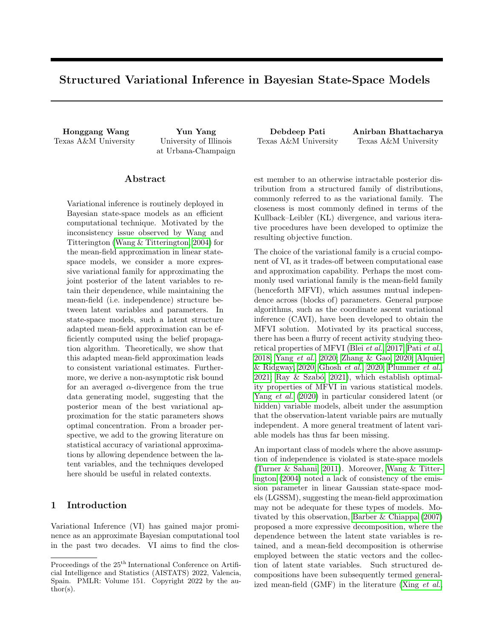# Structured Variational Inference in Bayesian State-Space Models

Texas A&M University University of Illinois

at Urbana-Champaign

## ${\rm Abstract}$

Variational inference is routinely deployed in Bayesian state-space models as an efficient computational technique. Motivated by the inconsistency issue observed by Wang and Titterington [\(Wang & Titterington, 2004\)](#page-9-0) for the mean-field approximation in linear statespace models, we consider a more expressive variational family for approximating the joint posterior of the latent variables to retain their dependence, while maintaining the mean-field (i.e. independence) structure between latent variables and parameters. In state-space models, such a latent structure adapted mean-field approximation can be efficiently computed using the belief propagation algorithm. Theoretically, we show that this adapted mean-field approximation leads to consistent variational estimates. Furthermore, we derive a non-asymptotic risk bound for an averaged  $\alpha$ -divergence from the true data generating model, suggesting that the posterior mean of the best variational approximation for the static parameters shows optimal concentration. From a broader perspective, we add to the growing literature on statistical accuracy of variational approximations by allowing dependence between the latent variables, and the techniques developed here should be useful in related contexts.

# 1 Introduction

Variational Inference (VI) has gained major prominence as an approximate Bayesian computational tool in the past two decades. VI aims to find the clos-

Honggang Wang Yun Yang Debdeep Pati Anirban Bhattacharya Texas A&M University Texas A&M University

> est member to an otherwise intractable posterior distribution from a structured family of distributions, commonly referred to as the variational family. The closeness is most commonly defined in terms of the Kullback–Leibler (KL) divergence, and various iterative procedures have been developed to optimize the resulting objective function.

> The choice of the variational family is a crucial component of VI, as it trades-off between computational ease and approximation capability. Perhaps the most commonly used variational family is the mean-field family (henceforth MFVI), which assumes mutual independence across (blocks of) parameters. General purpose algorithms, such as the coordinate ascent variational inference (CAVI), have been developed to obtain the MFVI solution. Motivated by its practical success, there has been a flurry of recent activity studying theoretical properties of MFVI (Blei [et al.](#page-8-0), [2017;](#page-8-0) Pati [et al.](#page-9-1), [2018;](#page-9-1) [Yang](#page-9-2) et al., [2020;](#page-9-2) [Zhang & Gao, 2020;](#page-9-3) [Alquier](#page-8-1) [& Ridgway, 2020;](#page-8-1) [Ghosh](#page-8-2) et al., [2020;](#page-8-2) [Plummer](#page-9-4) et al.,  $2021$ ; Ray & Szabó,  $2021$ ), which establish optimality properties of MFVI in various statistical models. Yang [et al.](#page-9-2) [\(2020\)](#page-9-2) in particular considered latent (or hidden) variable models, albeit under the assumption that the observation-latent variable pairs are mutually independent. A more general treatment of latent variable models has thus far been missing.

> An important class of models where the above assumption of independence is violated is state-space models [\(Turner & Sahani, 2011\)](#page-9-6). Moreover, [Wang & Titter](#page-9-0)[ington \(2004\)](#page-9-0) noted a lack of consistency of the emission parameter in linear Gaussian state-space models (LGSSM), suggesting the mean-field approximation may not be adequate for these types of models. Motivated by this observation, [Barber & Chiappa \(2007\)](#page-8-3) proposed a more expressive decomposition, where the dependence between the latent state variables is retained, and a mean-field decomposition is otherwise employed between the static vectors and the collection of latent state variables. Such structured decompositions have been subsequently termed generalized mean-field (GMF) in the literature (Xing [et al.](#page-9-7),

Proceedings of the  $25^{\text{th}}$  International Conference on Artificial Intelligence and Statistics (AISTATS) 2022, Valencia, Spain. PMLR: Volume 151. Copyright 2022 by the au- $\text{thor}(s)$ .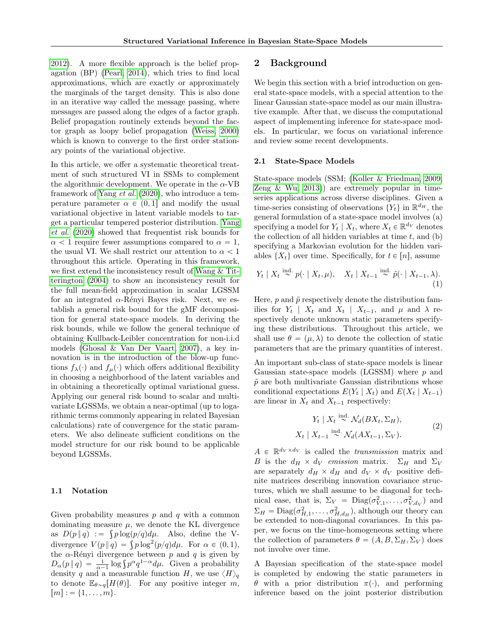[2012\)](#page-9-7). A more flexible approach is the belief propagation (BP) [\(Pearl, 2014\)](#page-9-8), which tries to find local approximations, which are exactly or approximately the marginals of the target density. This is also done in an iterative way called the message passing, where messages are passed along the edges of a factor graph. Belief propagation routinely extends beyond the factor graph as loopy belief propagation [\(Weiss, 2000\)](#page-9-9) which is known to converge to the first order stationary points of the variational objective.

In this article, we offer a systematic theoretical treatment of such structured VI in SSMs to complement the algorithmic development. We operate in the  $\alpha$ -VB framework of [Yang](#page-9-2) et al. [\(2020\)](#page-9-2), who introduce a temperature parameter  $\alpha \in (0, 1]$  and modify the usual variational objective in latent variable models to target a particular tempered posterior distribution. [Yang](#page-9-2) [et al.](#page-9-2) [\(2020\)](#page-9-2) showed that frequentist risk bounds for  $\alpha$  < 1 require fewer assumptions compared to  $\alpha = 1$ , the usual VI. We shall restrict our attention to  $\alpha < 1$ throughout this article. Operating in this framework, we first extend the inconsistency result of [Wang & Tit](#page-9-0)[terington \(2004\)](#page-9-0) to show an inconsistency result for the full mean-field approximation in scalar LGSSM for an integrated  $\alpha$ -Rényi Bayes risk. Next, we establish a general risk bound for the gMF decomposition for general state-space models. In deriving the risk bounds, while we follow the general technique of obtaining Kullback-Leibler concentration for non-i.i.d models [\(Ghosal & Van Der Vaart, 2007\)](#page-8-4), a key innovation is in the introduction of the blow-up functions  $f_{\lambda}(\cdot)$  and  $f_{\mu}(\cdot)$  which offers additional flexibility in choosing a neighborhood of the latent variables and in obtaining a theoretically optimal variational guess. Applying our general risk bound to scalar and multivariate LGSSMs, we obtain a near-optimal (up to logarithmic terms commonly appearing in related Bayesian calculations) rate of convergence for the static parameters. We also delineate sufficient conditions on the model structure for our risk bound to be applicable beyond LGSSMs.

### 1.1 Notation

Given probability measures  $p$  and  $q$  with a common dominating measure  $\mu$ , we denote the KL divergence as  $D(p||q) := \int p \log(p/q) d\mu$ . Also, define the Vas  $D(p||q) := \int p \log(p/q) d\mu$ . Also, define the V-<br>divergence  $V(p||q) = \int p \log^2(p/q) d\mu$ . For  $\alpha \in (0, 1)$ , the  $\alpha$ -Rényi divergence between p and q is given by the  $\alpha$ -Rényi divergence between p and q is given by<br>  $D_{\alpha}(p \mid q) = \frac{1}{\alpha - 1} \log \int p^{\alpha} q^{1 - \alpha} d\mu$ . Given a probability density q and a measurable function H, we use  $\langle H \rangle_q$ to denote  $\mathbb{E}_{\theta \sim q}[H(\theta)]$ . For any positive integer m,  $[m] := \{1, \ldots, m\}.$ 

### 2 Background

We begin this section with a brief introduction on general state-space models, with a special attention to the linear Gaussian state-space model as our main illustrative example. After that, we discuss the computational aspect of implementing inference for state-space models. In particular, we focus on variational inference and review some recent developments.

#### 2.1 State-Space Models

State-space models (SSM; [\(Koller & Friedman, 2009;](#page-8-5) [Zeng & Wu, 2013\)](#page-9-10)) are extremely popular in timeseries applications across diverse disciplines. Given a time-series consisting of observations  $\{Y_t\}$  in  $\mathbb{R}^{d_H}$ , the general formulation of a state-space model involves (a) specifying a model for  $Y_t | X_t$ , where  $X_t \in \mathbb{R}^{d_V}$  denotes the collection of all hidden variables at time  $t$ , and  $(b)$ specifying a Markovian evolution for the hidden variables  $\{X_t\}$  over time. Specifically, for  $t \in [n]$ , assume

<span id="page-1-0"></span>
$$
Y_t \mid X_t \stackrel{\text{ind.}}{\sim} p(\cdot \mid X_t, \mu), \quad X_t \mid X_{t-1} \stackrel{\text{ind.}}{\sim} \tilde{p}(\cdot \mid X_{t-1}, \lambda). \tag{1}
$$

Here,  $p$  and  $\tilde{p}$  respectively denote the distribution families for  $Y_t$  |  $X_t$  and  $X_t$  |  $X_{t-1}$ , and  $\mu$  and  $\lambda$  respectively denote unknown static parameters specifying these distributions. Throughout this article, we shall use  $\theta = (\mu, \lambda)$  to denote the collection of static parameters that are the primary quantities of interest.

An important sub-class of state-space models is linear Gaussian state-space models (LGSSM) where p and  $\tilde{p}$  are both multivariate Gaussian distributions whose conditional expectations  $E(Y_t | X_t)$  and  $E(X_t | X_{t-1})$ are linear in  $X_t$  and  $X_{t-1}$  respectively:

<span id="page-1-1"></span>
$$
Y_t \mid X_t \stackrel{\text{ind.}}{\sim} \mathcal{N}_d(BX_t, \Sigma_H),
$$
  

$$
X_t \mid X_{t-1} \stackrel{\text{ind.}}{\sim} \mathcal{N}_d(AX_{t-1}, \Sigma_V).
$$
 (2)

 $A \in \mathbb{R}^{d_V \times d_V}$  is called the *transmission* matrix and B is the  $d_H \times d_V$  emission matrix.  $\Sigma_H$  and  $\Sigma_V$ are separately  $d_H \times d_H$  and  $d_V \times d_V$  positive definite matrices describing innovation covariance structures, which we shall assume to be diagonal for technical ease, that is,  $\Sigma_V = \text{Diag}(\sigma_{V,1}^2, \dots, \sigma_{V,d_V}^2)$  and  $\Sigma_H = \text{Diag}(\sigma_{H,1}^2, \ldots, \sigma_{H,d_H}^2)$ , although our theory can be extended to non-diagonal covariances. In this paper, we focus on the time-homogeneous setting where the collection of parameters  $\theta = (A, B, \Sigma_H, \Sigma_V)$  does not involve over time.

A Bayesian specification of the state-space model is completed by endowing the static parameters in  $θ$  with a prior distribution  $π(·)$ , and performing inference based on the joint posterior distribution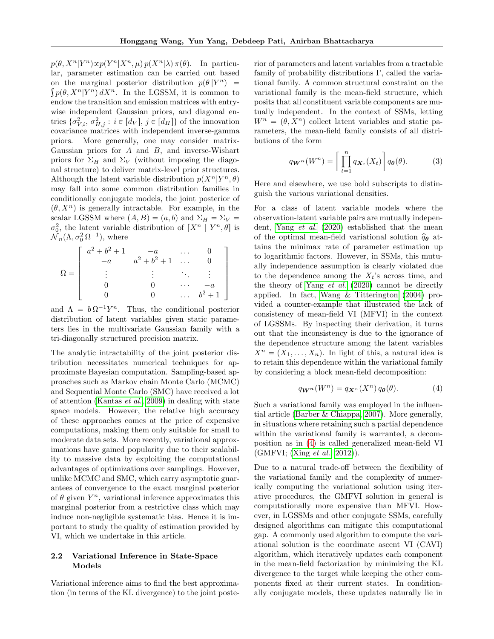$p(\theta, X^n | Y^n) \propto p(Y^n | X^n, \mu) p(X^n | \lambda) \pi(\theta)$ . In particular, parameter estimation can be carried out based on the marginal posterior distribution  $p(\theta | Y^n) =$  $p(\theta, X^n|Y^n) dX^n$ . In the LGSSM, it is common to endow the transition and emission matrices with entrywise independent Gaussian priors, and diagonal entries  $\{\sigma_{V,i}^2, \sigma_{H,j}^2 : i \in [d_V], j \in [d_H]\}\$  of the innovation covariance matrices with independent inverse-gamma priors. More generally, one may consider matrix-Gaussian priors for  $A$  and  $B$ , and inverse-Wishart priors for  $\Sigma_H$  and  $\Sigma_V$  (without imposing the diagonal structure) to deliver matrix-level prior structures. Although the latent variable distribution  $p(X^n|Y^n, \theta)$ may fall into some common distribution families in conditionally conjugate models, the joint posterior of  $(\theta, X^n)$  is generally intractable. For example, in the scalar LGSSM where  $(A, B) = (a, b)$  and  $\Sigma_H = \Sigma_V =$  $\sigma_0^2$ , the latent variable distribution of  $\left[ X^n \mid Y^n, \theta \right]$  is  $\mathcal{N}_n(\Lambda, \sigma_0^2 \Omega^{-1}),$  where

$$
\Omega = \left[ \begin{array}{ccccc} a^2 + b^2 + 1 & -a & \dots & 0 \\ -a & a^2 + b^2 + 1 & \dots & 0 \\ \vdots & \vdots & \ddots & \vdots \\ 0 & 0 & \dots & -a \\ 0 & 0 & \dots & b^2 + 1 \end{array} \right]
$$

and  $\Lambda = b \Omega^{-1} Y^n$ . Thus, the conditional posterior distribution of latent variables given static parameters lies in the multivariate Gaussian family with a tri-diagonally structured precision matrix.

The analytic intractability of the joint posterior distribution necessitates numerical techniques for approximate Bayesian computation. Sampling-based approaches such as Markov chain Monte Carlo (MCMC) and Sequential Monte Carlo (SMC) have received a lot of attention [\(Kantas](#page-8-6) et al., [2009\)](#page-8-6) in dealing with state space models. However, the relative high accuracy of these approaches comes at the price of expensive computations, making them only suitable for small to moderate data sets. More recently, variational approximations have gained popularity due to their scalability to massive data by exploiting the computational advantages of optimizations over samplings. However, unlike MCMC and SMC, which carry asymptotic guarantees of convergence to the exact marginal posterior of  $\theta$  given  $Y^n$ , variational inference approximates this marginal posterior from a restrictive class which may induce non-negligible systematic bias. Hence it is important to study the quality of estimation provided by VI, which we undertake in this article.

## <span id="page-2-1"></span>2.2 Variational Inference in State-Space Models

Variational inference aims to find the best approximation (in terms of the KL divergence) to the joint posterior of parameters and latent variables from a tractable family of probability distributions Γ, called the variational family. A common structural constraint on the variational family is the mean-field structure, which posits that all constituent variable components are mutually independent. In the context of SSMs, letting  $W^n = (\theta, X^n)$  collect latent variables and static parameters, the mean-field family consists of all distributions of the form ȷ

<span id="page-2-2"></span>
$$
q_{\boldsymbol{W}^{\boldsymbol{n}}}(W^n) = \left[\prod_{t=1}^n q_{\boldsymbol{X}_t}(X_t)\right] q_{\boldsymbol{\theta}}(\theta). \tag{3}
$$

Here and elsewhere, we use bold subscripts to distinguish the various variational densities.

For a class of latent variable models where the observation-latent variable pairs are mutually independent, Yang [et al.](#page-9-2) [\(2020\)](#page-9-2) established that the mean of the optimal mean-field variational solution  $\hat{q}_{\theta}$  attains the minimax rate of parameter estimation up to logarithmic factors. However, in SSMs, this mutually independence assumption is clearly violated due to the dependence among the  $X_t$ 's across time, and the theory of Yang [et al.](#page-9-2) [\(2020\)](#page-9-2) cannot be directly applied. In fact, [Wang & Titterington \(2004\)](#page-9-0) provided a counter-example that illustrated the lack of consistency of mean-field VI (MFVI) in the context of LGSSMs. By inspecting their derivation, it turns out that the inconsistency is due to the ignorance of the dependence structure among the latent variables  $X^n = (X_1, \ldots, X_n)$ . In light of this, a natural idea is to retain this dependence within the variational family by considering a block mean-field decomposition:

<span id="page-2-0"></span>
$$
q_{\mathbf{W}^n}(W^n) = q_{\mathbf{X}^n}(X^n) q_{\theta}(\theta). \tag{4}
$$

Such a variational family was employed in the influential article [\(Barber & Chiappa, 2007\)](#page-8-3). More generally, in situations where retaining such a partial dependence within the variational family is warranted, a decomposition as in [\(4\)](#page-2-0) is called generalized mean-field VI (GMFVI; (Xing [et al.](#page-9-7), [2012\)](#page-9-7)).

Due to a natural trade-off between the flexibility of the variational family and the complexity of numerically computing the variational solution using iterative procedures, the GMFVI solution in general is computationally more expensive than MFVI. However, in LGSSMs and other conjugate SSMs, carefully designed algorithms can mitigate this computational gap. A commonly used algorithm to compute the variational solution is the coordinate ascent VI (CAVI) algorithm, which iteratively updates each component in the mean-field factorization by minimizing the KL divergence to the target while keeping the other components fixed at their current states. In conditionally conjugate models, these updates naturally lie in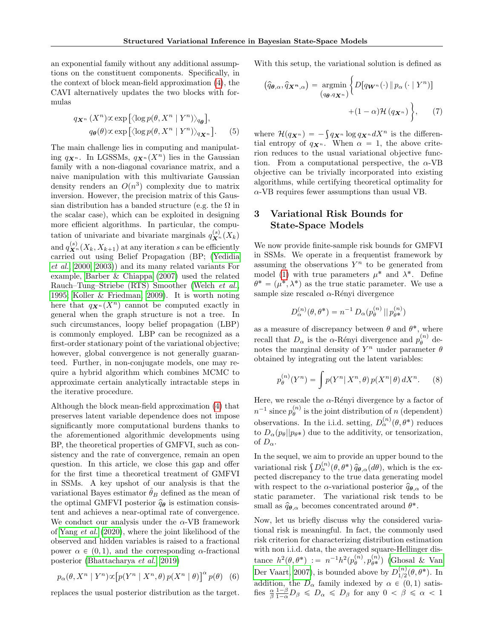an exponential family without any additional assumptions on the constituent components. Specifically, in the context of block mean-field approximation [\(4\)](#page-2-0), the CAVI alternatively updates the two blocks with formulas ‰

$$
q_{\mathbf{X}^n}(X^n) \propto \exp\left[\langle \log p(\theta, X^n \mid Y^n) \rangle_{q_{\theta}}\right],
$$
  
 
$$
q_{\theta}(\theta) \propto \exp\left[\langle \log p(\theta, X^n \mid Y^n) \rangle_{q_{\mathbf{X}^n}}\right].
$$
 (5)

The main challenge lies in computing and manipulating  $q_{\mathbf{X}^n}$ . In LGSSMs,  $q_{\mathbf{X}^n}(X^n)$  lies in the Gaussian family with a non-diagonal covariance matrix, and a naive manipulation with this multivariate Gaussian density renders an  $O(n^3)$  complexity due to matrix inversion. However, the precision matrix of this Gaussian distribution has a banded structure (e.g. the  $\Omega$  in the scalar case), which can be exploited in designing more efficient algorithms. In particular, the computation of univariate and bivariate marginals  $q_{\mathbf{X}^n}^{(s)}(X_k)$ and  $q_{\mathbf{X}^n}^{(s)}(X_k, X_{k+1})$  at any iteration s can be efficiently carried out using Belief Propagation (BP; [\(Yedidia](#page-9-11) [et al.](#page-9-11), [2000,](#page-9-11) [2003\)](#page-9-12)) and its many related variants For example, [Barber & Chiappa \(2007\)](#page-8-3) used the related Rauch–Tung–Striebe (RTS) Smoother [\(Welch](#page-9-13) et al., [1995;](#page-9-13) [Koller & Friedman, 2009\)](#page-8-5). It is worth noting here that  $q_{\mathbf{X}^n}(X^n)$  cannot be computed exactly in general when the graph structure is not a tree. In such circumstances, loopy belief propagation (LBP) is commonly employed. LBP can be recognized as a first-order stationary point of the variational objective; however, global convergence is not generally guaranteed. Further, in non-conjugate models, one may require a hybrid algorithm which combines MCMC to approximate certain analytically intractable steps in the iterative procedure.

Although the block mean-field approximation [\(4\)](#page-2-0) that preserves latent variable dependence does not impose significantly more computational burdens thanks to the aforementioned algorithmic developments using BP, the theoretical properties of GMFVI, such as consistency and the rate of convergence, remain an open question. In this article, we close this gap and offer for the first time a theoretical treatment of GMFVI in SSMs. A key upshot of our analysis is that the variational Bayes estimator  $\hat{\theta}_B$  defined as the mean of the optimal GMFVI posterior  $\hat{q}_{\theta}$  is estimation consistent and achieves a near-optimal rate of convergence. We conduct our analysis under the  $\alpha$ -VB framework of [Yang](#page-9-2) et al. [\(2020\)](#page-9-2), where the joint likelihood of the observed and hidden variables is raised to a fractional power  $\alpha \in (0, 1)$ , and the corresponding α-fractional posterior [\(Bhattacharya](#page-8-7) et al., [2019\)](#page-8-7)

$$
p_{\alpha}(\theta, X^n \mid Y^n) \propto [p(Y^n \mid X^n, \theta) p(X^n \mid \theta)]^{\alpha} p(\theta) \quad (6)
$$

replaces the usual posterior distribution as the target.

With this setup, the variational solution is defined as

<span id="page-3-1"></span>
$$
(\widehat{q}_{\boldsymbol{\theta},\alpha},\widehat{q}_{\boldsymbol{X}^n,\alpha}) = \underset{(q_{\boldsymbol{\theta}},q_{\boldsymbol{X}^n})}{\operatorname{argmin}} \Big\{ D[q_{\boldsymbol{W}^n}(\cdot) \, \| \, p_{\alpha} \, (\cdot \mid Y^n)] + (1-\alpha) \mathcal{H} \, (q_{\boldsymbol{X}^n}) \Big\},\tag{7}
$$

<span id="page-3-0"></span>where  $\mathcal{H}(q_{\mathbf{X}^n}) = -\int q_{\mathbf{X}^n} \log q_{\mathbf{X}^n} dX^n$  is the differential entropy of  $q_{\mathbf{X}^n}$ . When  $\alpha = 1$ , the above criterion reduces to the usual variational objective function. From a computational perspective, the  $\alpha$ -VB objective can be trivially incorporated into existing algorithms, while certifying theoretical optimality for  $\alpha$ -VB requires fewer assumptions than usual VB.

# 3 Variational Risk Bounds for State-Space Models

We now provide finite-sample risk bounds for GMFVI in SSMs. We operate in a frequentist framework by assuming the observations  $Y^n$  to be generated from model [\(1\)](#page-1-0) with true parameters  $\mu^*$  and  $\lambda^*$ . Define  $\theta^* = (\mu^*, \lambda^*)$  as the true static parameter. We use a sample size rescaled  $\alpha$ -Rényi divergence

$$
D_{\alpha}^{(n)}(\theta, \theta^*) = n^{-1} D_{\alpha}(p_{\theta}^{(n)} || p_{\theta^*}^{(n)})
$$

as a measure of discrepancy between  $\theta$  and  $\theta^*$ , where recall that  $D_{\alpha}$  is the  $\alpha$ -Rényi divergence and  $p_{\theta}^{(n)}$  denotes the marginal density of  $Y^n$  under parameter  $\theta$ obtained by integrating out the latent variables:

$$
p_{\theta}^{(n)}(Y^n) = \int p(Y^n | X^n, \theta) p(X^n | \theta) dX^n.
$$
 (8)

Here, we rescale the  $\alpha$ -Rényi divergence by a factor of  $n^{-1}$  since  $p_{\theta}^{(n)}$  is the joint distribution of n (dependent) observations. In the i.i.d. setting,  $D_{\alpha}^{(n)}(\theta, \theta^*)$  reduces to  $D_{\alpha}(p_{\theta}||p_{\theta^*})$  due to the additivity, or tensorization, of  $D_{\alpha}$ .

In the sequel, we aim to provide an upper bound to the In the sequel, we aim to provide an upper bound to the<br>variational risk  $\int D_{\alpha}^{(n)}(\theta, \theta^*) \hat{q}_{\theta,\alpha}(d\theta)$ , which is the expected discrepancy to the true data generating model with respect to the  $\alpha$ -variational posterior  $\hat{q}_{\theta,\alpha}$  of the static parameter. The variational risk tends to be small as  $\hat{q}_{\theta,\alpha}$  becomes concentrated around  $\theta^*$ .

Now, let us briefly discuss why the considered variational risk is meaningful. In fact, the commonly used risk criterion for characterizing distribution estimation with non i.i.d. data, the averaged square-Hellinger distance  $h^2(\theta, \theta^*) := n^{-1}h^2(p_{\theta}^{(n)}, p_{\theta^*}^{(n)})$  [\(Ghosal & Van](#page-8-4) [Der Vaart, 2007\)](#page-8-4), is bounded above by  $D_{1/2}^{(n)}$  $_{1/2}^{(n)}(\theta,\theta^*)$ . In addition, the  $D_{\alpha}$  family indexed by  $\alpha \in (0, 1)$  satisfies  $\frac{\alpha}{\beta} \frac{1-\beta}{1-\alpha} D_{\beta} \le D_{\alpha} \le D_{\beta}$  for any  $0 < \beta \le \alpha < 1$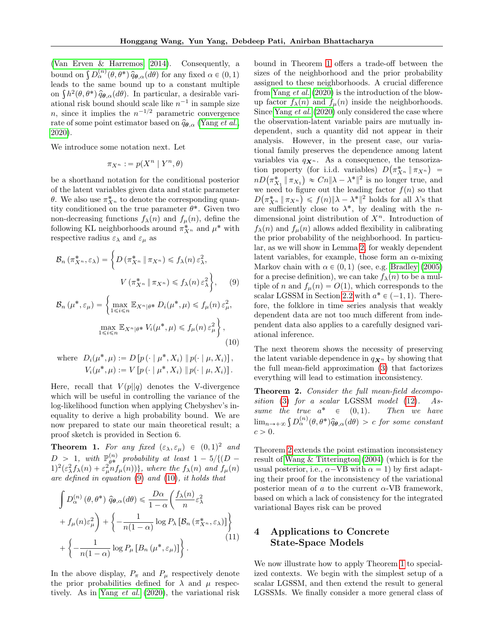[\(Van Erven & Harremos, 2014\)](#page-9-14). Consequently, a (van Erven & Harremos, 2014). Consequently, a<br>bound on  $\int D_{\alpha}^{(n)}(\theta, \theta^*) \hat{q}_{\theta,\alpha}(d\theta)$  for any fixed  $\alpha \in (0,1)$ leads to the same bound up to a constant multiple leads to the same bound up to a constant multiple<br>on  $\int h^2(\theta, \theta^*) \hat{q}_{\theta,\alpha}(d\theta)$ . In particular, a desirable variational risk bound should scale like  $n^{-1}$  in sample size *n*, since it implies the  $n^{-1/2}$  parametric convergence rate of some point estimator based on  $\hat{q}_{\theta,\alpha}$  [\(Yang](#page-9-2) et al., [2020\)](#page-9-2).

We introduce some notation next. Let

$$
\pi_{X^n} := p(X^n \mid Y^n, \theta)
$$

be a shorthand notation for the conditional posterior of the latent variables given data and static parameter  $\theta$ . We also use  $\pi_{X^n}^*$  to denote the corresponding quantity conditioned on the true parameter  $\theta^*$ . Given two non-decreasing functions  $f_{\lambda}(n)$  and  $f_{\mu}(n)$ , define the following KL neighborhoods around  $\pi_{X^n}^*$  and  $\mu^*$  with respective radius  $\varepsilon_{\lambda}$  and  $\varepsilon_{\mu}$  as

$$
\mathcal{B}_n \left( \pi_{X^n}^*, \varepsilon_\lambda \right) = \left\{ D \left( \pi_{X^n}^* \, \| \, \pi_{X^n} \right) \leq f_\lambda(n) \, \varepsilon_\lambda^2, \right\}
$$
\n
$$
V \left( \pi_{X^n}^* \, \| \, \pi_{X^n} \right) \leq f_\lambda(n) \, \varepsilon_\lambda^2 \right\}, \qquad (9)
$$

$$
\mathcal{B}_{n}(\mu^{*}, \varepsilon_{\mu}) = \left\{ \max_{1 \leq i \leq n} \mathbb{E}_{X^{n} | \theta^{*}} D_{i}(\mu^{*}, \mu) \leq f_{\mu}(n) \varepsilon_{\mu}^{2}, \right\}
$$

$$
\max_{1 \leq i \leq n} \mathbb{E}_{X^{n} | \theta^{*}} V_{i}(\mu^{*}, \mu) \leq f_{\mu}(n) \varepsilon_{\mu}^{2} \right\},
$$
(10)

where 
$$
D_i(\mu^*, \mu) := D[p(\cdot | \mu^*, X_i) || p(\cdot | \mu, X_i)],
$$
  
 $V_i(\mu^*, \mu) := V[p(\cdot | \mu^*, X_i) || p(\cdot | \mu, X_i)].$ 

Here, recall that  $V(p||q)$  denotes the V-divergence which will be useful in controlling the variance of the log-likelihood function when applying Chebyshev's inequality to derive a high probability bound. We are now prepared to state our main theoretical result; a proof sketch is provided in Section 6.

<span id="page-4-2"></span>**Theorem 1.** For any fixed  $(\varepsilon_{\lambda}, \varepsilon_{\mu}) \in (0, 1)^2$  and  $D > 1$ , with  $\mathbb{P}_{\theta^*}^{(n)}$  probability at least  $1 - 5/{(D - 1)}$  $1)^2(\epsilon_\lambda^2 f_\lambda(n) + \epsilon_\mu^2 n f_\mu(n))\},$  where the  $f_\lambda(n)$  and  $f_\mu(n)$ are defined in equation [\(9\)](#page-4-0) and [\(10\)](#page-4-1), it holds that

$$
\int D_{\alpha}^{(n)}(\theta, \theta^*) \widehat{q}_{\theta, \alpha}(d\theta) \le \frac{D\alpha}{1-\alpha} \left( \frac{f_{\lambda}(n)}{n} \varepsilon_{\lambda}^2 + f_{\mu}(n) \varepsilon_{\mu}^2 \right) + \left\{ -\frac{1}{n(1-\alpha)} \log P_{\lambda} \left[ \mathcal{B}_n \left( \pi_{X^n}^*, \varepsilon_{\lambda} \right) \right] \right\} + \left\{ -\frac{1}{n(1-\alpha)} \log P_{\mu} \left[ B_n \left( \mu^*, \varepsilon_{\mu} \right) \right] \right\}. \tag{11}
$$

In the above display,  $P_{\pi}$  and  $P_{\mu}$  respectively denote the prior probabilities defined for  $\lambda$  and  $\mu$  respectively. As in [Yang](#page-9-2) et al. [\(2020\)](#page-9-2), the variational risk bound in Theorem [1](#page-4-2) offers a trade-off between the sizes of the neighborhood and the prior probability assigned to these neighborhoods. A crucial difference from [Yang](#page-9-2) et al. [\(2020\)](#page-9-2) is the introduction of the blowup factor  $f_{\lambda}(n)$  and  $f_{\mu}(n)$  inside the neighborhoods. Since [Yang](#page-9-2) et al. [\(2020\)](#page-9-2) only considered the case where the observation-latent variable pairs are mutually independent, such a quantity did not appear in their analysis. However, in the present case, our variational family preserves the dependence among latent variables via  $q_{\mathbf{X}^n}$ . As a consequence, the tensorization property (for i.i.d. variables)  $D(\pi_{X^n}^* \parallel \pi_{X^n})$  = tion property (for i.i.d. variables)  $D(\pi_{X^n}^* \| \pi_{X^n}) = nD(\pi_{X_1}^* \| \pi_{X_1}) \approx Cn \|\lambda - \lambda^*\|^2$  is no longer true, and we need to figure out the leading factor  $f(n)$  so that  $D(\pi_{X^n}^* \|\pi_{X^n}) \leqslant f(n) \|\lambda - \lambda^*\|^2$  holds for all  $\lambda$ 's that are sufficiently close to  $\lambda^*$ , by dealing with the *n*dimensional joint distribution of  $X<sup>n</sup>$ . Introduction of  $f_{\lambda}(n)$  and  $f_{\mu}(n)$  allows added flexibility in calibrating the prior probability of the neighborhood. In particular, as we will show in Lemma [2,](#page-13-0) for weakly dependent latent variables, for example, those form an  $\alpha$ -mixing Markov chain with  $\alpha \in (0, 1)$  (see, e.g. [Bradley \(2005\)](#page-8-8) for a precise definition), we can take  $f_{\lambda}(n)$  to be a multiple of n and  $f_{\mu}(n) = O(1)$ , which corresponds to the scalar LGSSM in Section [2.2](#page-2-1) with  $a^* \in (-1, 1)$ . Therefore, the folklore in time series analysis that weakly dependent data are not too much different from independent data also applies to a carefully designed variational inference.

<span id="page-4-1"></span><span id="page-4-0"></span>The next theorem shows the necessity of preserving the latent variable dependence in  $q_{\mathbf{X}^n}$  by showing that the full mean-field approximation [\(3\)](#page-2-2) that factorizes everything will lead to estimation inconsistency.

<span id="page-4-3"></span>Theorem 2. Consider the full mean-field decomposition [\(3\)](#page-2-2) for a scalar LGSSM model [\(12\)](#page-5-0). Assume the true  $a^* \in (0,1)$ . Then we have sume the true  $a^+ \in (0,1)$ . Then we have<br> $\lim_{n\to+\infty} \int D_{\alpha}^{(n)}(\theta,\theta^*)\hat{q}_{\theta,\alpha}(d\theta) > c$  for some constant  $c > 0$ .

Theorem [2](#page-4-3) extends the point estimation inconsistency result of [Wang & Titterington \(2004\)](#page-9-0) (which is for the usual posterior, i.e.,  $\alpha$ -VB with  $\alpha = 1$ ) by first adapting their proof for the inconsistency of the variational posterior mean of  $a$  to the current  $\alpha$ -VB framework, based on which a lack of consistency for the integrated variational Bayes risk can be proved

# 4 Applications to Concrete State-Space Models

We now illustrate how to apply Theorem [1](#page-4-2) to specialized contexts. We begin with the simplest setup of a scalar LGSSM, and then extend the result to general LGSSMs. We finally consider a more general class of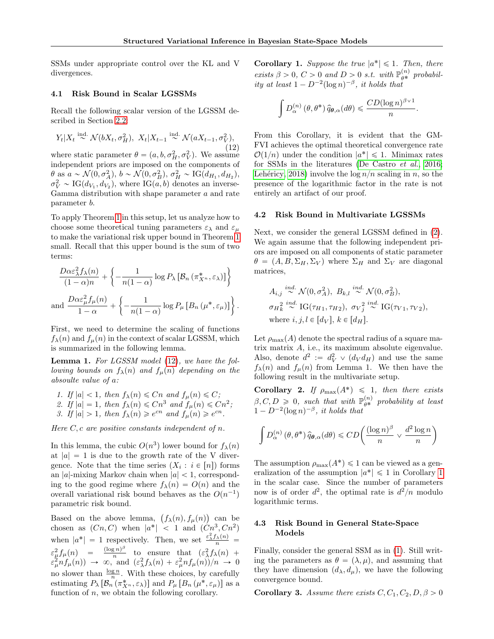SSMs under appropriate control over the KL and V divergences.

### 4.1 Risk Bound in Scalar LGSSMs

Recall the following scalar version of the LGSSM described in Section [2.2:](#page-2-1)

$$
Y_t|X_t \stackrel{\text{ind.}}{\sim} \mathcal{N}(bX_t, \sigma_H^2), \ X_t|X_{t-1} \stackrel{\text{ind.}}{\sim} \mathcal{N}(aX_{t-1}, \sigma_{V,1}^2),
$$

(12) where static parameter  $\theta = (a, b, \sigma_H^2, \sigma_V^2)$ . We assume independent priors are imposed on the components of  $\theta$  as  $a \sim \mathcal{N}(0, \sigma_A^2), b \sim \mathcal{N}(0, \sigma_B^2), \sigma_H^2 \sim \text{IG}(d_{H_1}, d_{H_2}),$  $\sigma_V^2 \sim \text{IG}(d_{V_1}, d_{V_2})$ , where  $\text{IG}(a, b)$  denotes an inverse-Gamma distribution with shape parameter a and rate parameter b.

To apply Theorem [1](#page-4-2) in this setup, let us analyze how to choose some theoretical tuning parameters  $\varepsilon_{\lambda}$  and  $\varepsilon_{\mu}$ to make the variational risk upper bound in Theorem [1](#page-4-2) small. Recall that this upper bound is the sum of two terms:

$$
\frac{D\alpha \varepsilon_{\lambda}^{2} f_{\lambda}(n)}{(1-\alpha)n} + \left\{ -\frac{1}{n(1-\alpha)} \log P_{\lambda} \left[ \mathcal{B}_{n} \left( \pi_{X^{n}}^{*}, \varepsilon_{\lambda} \right) \right] \right\}
$$
  
and 
$$
\frac{D\alpha \varepsilon_{\mu}^{2} f_{\mu}(n)}{1-\alpha} + \left\{ -\frac{1}{n(1-\alpha)} \log P_{\mu} \left[ B_{n} \left( \mu^{*}, \varepsilon_{\mu} \right) \right] \right\}.
$$

First, we need to determine the scaling of functions  $f_{\lambda}(n)$  and  $f_{\mu}(n)$  in the context of scalar LGSSM, which is summarized in the following lemma.

**Lemma 1.** For LGSSM model [\(12\)](#page-5-0), we have the following bounds on  $f_{\lambda}(n)$  and  $f_{\mu}(n)$  depending on the absoulte value of a:

1. If  $|a| < 1$ , then  $f_{\lambda}(n) \leq Cn$  and  $f_{\mu}(n) \leq C$ ; 2. If  $|a| = 1$ , then  $f_{\lambda}(n) \leq Cn^3$  and  $f_{\mu}(n) \leq Cn^2$ ; 3. If  $|a| > 1$ , then  $f_{\lambda}(n) \geq e^{cn}$  and  $f_{\mu}(n) \geq e^{cn}$ .

Here  $C, c$  are positive constants independent of n.

In this lemma, the cubic  $O(n^3)$  lower bound for  $f_\lambda(n)$ at  $|a| = 1$  is due to the growth rate of the V divergence. Note that the time series  $(X_i : i \in [n])$  forms an  $|a|$ -mixing Markov chain when  $|a| < 1$ , corresponding to the good regime where  $f_{\lambda}(n) = O(n)$  and the overall variational risk bound behaves as the  $O(n^{-1})$ parametric risk bound.

Based on the above lemma,  $(f_{\lambda}(n), f_{\mu}(n))$  can be chosen as  $(Cn, C)$  when  $|a^*| < 1$  and  $(Cn^3, Cn^2)$ when  $|a^*| = 1$  respectively. Then, we set  $\frac{\varepsilon_\lambda^2 f_\lambda(n)}{n} =$  $\varepsilon_{\mu}^2 f_{\mu}(n) = \frac{(\log n)^{\beta}}{n}$  $\int_{0}^{\frac{\pi}{2}}$  to ensure that  $(\varepsilon_{\lambda}^{2} f_{\lambda}(n))$  +  $\varepsilon_{\mu}^2 n f_{\mu}(n) \rightarrow \infty$ , and  $(\varepsilon_{\lambda}^2 f_{\lambda}(n) + \varepsilon_{\mu}^2 n f_{\mu}(n) )/n \rightarrow 0$ no slower than  $\frac{\log n}{n}$ . With these choices, by carefully estimating  $P_{\lambda} [\mathcal{B}_n (\pi_{X^n}^*, \varepsilon_{\lambda})]$  and  $P_{\mu} [B_n (\mu^*, \varepsilon_{\mu})]$  as a function of  $n$ , we obtain the following corollary.

<span id="page-5-1"></span>**Corollary 1.** Suppose the true  $|a^*| \leq 1$ . Then, there exists  $\beta > 0$ ,  $C > 0$  and  $D > 0$  s.t. with  $\mathbb{P}_{\theta^*}^{(n)}$  probability at least  $1 - D^{-2}(\log n)^{-\beta}$ , it holds that

$$
\int D_{\alpha}^{(n)}(\theta,\theta^*)\,\widehat{q}_{\theta,\alpha}(d\theta) \leqslant \frac{CD(\log n)^{\beta \vee 1}}{n}.
$$

<span id="page-5-0"></span>From this Corollary, it is evident that the GM-FVI achieves the optimal theoretical convergence rate  $\mathcal{O}(1/n)$  under the condition  $|a^*| \leq 1$ . Minimax rates for SSMs in the literatures [\(De Castro](#page-8-9) et al., [2016;](#page-8-9) Lehéricy, 2018) involve the  $\log n/n$  scaling in n, so the presence of the logarithmic factor in the rate is not entirely an artifact of our proof.

#### 4.2 Risk Bound in Multivariate LGSSMs

Next, we consider the general LGSSM defined in [\(2\)](#page-1-1). We again assume that the following independent priors are imposed on all components of static parameter  $\theta = (A, B, \Sigma_H, \Sigma_V)$  where  $\Sigma_H$  and  $\Sigma_V$  are diagonal matrices,

$$
A_{i,j} \stackrel{ind.}{\sim} \mathcal{N}(0, \sigma_A^2), B_{k,l} \stackrel{ind.}{\sim} \mathcal{N}(0, \sigma_B^2),
$$
  
\n
$$
\sigma_H_k^2 \stackrel{ind.}{\sim} \text{IG}(\tau_{H_1}, \tau_{H_2}), \sigma_V_j^2 \stackrel{ind.}{\sim} \text{IG}(\tau_{V_1}, \tau_{V_2}),
$$
  
\nwhere  $i, j, l \in [d_V], k \in [d_H].$ 

Let  $\rho_{\text{max}}(A)$  denote the spectral radius of a square matrix matrix A, i.e., its maximum absolute eigenvalue. Also, denote  $d^2 := d_V^2 \vee (d_V d_H)$  and use the same  $f_{\lambda}(n)$  and  $f_{\mu}(n)$  from Lemma 1. We then have the following result in the multivariate setup.

<span id="page-5-3"></span>Corollary 2. If  $\rho_{\text{max}}(A^*) \leq 1$ , then there exists  $\beta, C, D \geq 0$ , such that with  $\mathbb{P}_{\theta^*}^{(n)}$  probability at least  $1 - D^{-2}(\log n)^{-\beta}$ , it holds that

$$
\int D_{\alpha}^{(n)}(\theta, \theta^*) \hat{q}_{\theta, \alpha}(d\theta) \leq CD \left( \frac{(\log n)^{\beta}}{n} \vee \frac{d^2 \log n}{n} \right)
$$

The assumption  $\rho_{\text{max}}(A^*) \leq 1$  can be viewed as a generalization of the assumption  $|a^*| \leq 1$  $|a^*| \leq 1$  in Corollary 1 in the scalar case. Since the number of parameters now is of order  $d^2$ , the optimal rate is  $d^2/n$  modulo logarithmic terms.

## 4.3 Risk Bound in General State-Space Models

Finally, consider the general SSM as in [\(1\)](#page-1-0). Still writing the parameters as  $\theta = (\lambda, \mu)$ , and assuming that they have dimension  $(d_{\lambda}, d_{\mu})$ , we have the following convergence bound.

<span id="page-5-2"></span>**Corollary 3.** Assume there exists  $C, C_1, C_2, D, \beta > 0$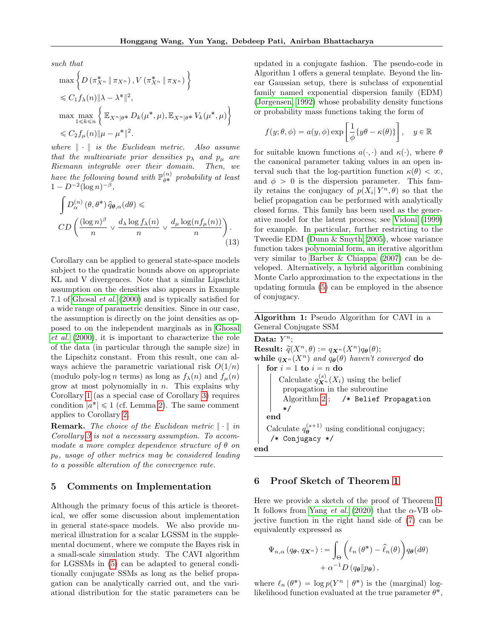such that  
\n
$$
\max \left\{ D\left(\pi_{X^n}^* \|\pi_{X^n}\right), V\left(\pi_{X^n}^* \|\pi_{X^n}\right) \right\}
$$
\n
$$
\leq C_1 f_\lambda(n) \|\lambda - \lambda^*\|^2,
$$
\n
$$
\max \max_{1 \leq k \leq n} \left\{ \mathbb{E}_{X^n | \theta^*} D_k(\mu^*, \mu), \mathbb{E}_{X^n | \theta^*} V_k(\mu^*, \mu) \right\}
$$
\n
$$
\leq C_2 f_\mu(n) \|\mu - \mu^*\|^2.
$$

\*

where  $\|\cdot\|$  is the Euclidean metric. Also assume that the multivariate prior densities  $p_{\lambda}$  and  $p_{\mu}$  are Riemann integrable over their domain. Then, we have the following bound with  $\mathbb{P}_{\theta^*}^{(n)}$  probability at least  $1 - D^{-2} (\log n)^{-\beta},$ 

$$
\int D_{\alpha}^{(n)}(\theta, \theta^*) \hat{q}_{\theta, \alpha}(d\theta) \leq
$$
\n
$$
CD\left(\frac{(\log n)^{\beta}}{n} \vee \frac{d_{\lambda} \log f_{\lambda}(n)}{n} \vee \frac{d_{\mu} \log(n f_{\mu}(n))}{n}\right).
$$
\n(13)

Corollary can be applied to general state-space models subject to the quadratic bounds above on appropriate KL and V divergences. Note that a similar Lipschitz assumption on the densities also appears in Example 7.1 of [Ghosal](#page-8-10) et al. [\(2000\)](#page-8-10) and is typically satisfied for a wide range of parametric densities. Since in our case, the assumption is directly on the joint densities as opposed to on the independent marginals as in [Ghosal](#page-8-10) [et al.](#page-8-10) [\(2000\)](#page-8-10), it is important to characterize the role of the data (in particular through the sample size) in the Lipschitz constant. From this result, one can always achieve the parametric variational risk  $O(1/n)$ (modulo poly-log n terms) as long as  $f_{\lambda}(n)$  and  $f_{\mu}(n)$ grow at most polynomially in  $n$ . This explains why Corollary [1](#page-5-1) (as a special case of Corollary [3\)](#page-5-2) requires condition  $|a^*| \leq 1$  (cf. Lemma [2\)](#page-13-0). The same comment applies to Corollary [2.](#page-5-3)

**Remark.** The choice of the Euclidean metric  $\|\cdot\|$  in Corollary [3](#page-5-2) is not a necessary assumption. To accommodate a more complex dependence structure of  $\theta$  on  $p_{\theta}$ , usage of other metrics may be considered leading to a possible alteration of the convergence rate.

### 5 Comments on Implementation

Although the primary focus of this article is theoretical, we offer some discussion about implementation in general state-space models. We also provide numerical illustration for a scalar LGSSM in the supplemental document, where we compute the Bayes risk in a small-scale simulation study. The CAVI algorithm for LGSSMs in [\(5\)](#page-3-0) can be adapted to general conditionally conjugate SSMs as long as the belief propagation can be analytically carried out, and the variational distribution for the static parameters can be updated in a conjugate fashion. The pseudo-code in Algorithm 1 offers a general template. Beyond the linear Gaussian setup, there is subclass of exponential family named exponential dispersion family (EDM) [\(Jørgensen, 1992\)](#page-8-11) whose probability density functions or probability mass functions taking the form of

$$
f(y; \theta, \phi) = a(y, \phi) \exp\left[\frac{1}{\phi} \{y\theta - \kappa(\theta)\}\right], \quad y \in \mathbb{R}
$$

for suitable known functions  $a(\cdot, \cdot)$  and  $\kappa(\cdot)$ , where  $\theta$ the canonical parameter taking values in an open interval such that the log-partition function  $\kappa(\theta) < \infty$ , and  $\phi > 0$  is the dispersion parameter. This family retains the conjugacy of  $p(X_i | Y^n, \theta)$  so that the belief propagation can be performed with analytically closed forms. This family has been used as the generative model for the latent process; see [Vidoni \(1999\)](#page-9-16) for example. In particular, further restricting to the Tweedie EDM [\(Dunn & Smyth, 2005\)](#page-8-12), whose variance function takes polynomial form, an iterative algorithm very similar to [Barber & Chiappa \(2007\)](#page-8-3) can be developed. Alternatively, a hybrid algorithm combining Monte Carlo approximation to the expectations in the updating formula [\(5\)](#page-3-0) can be employed in the absence of conjugacy.

### Algorithm 1: Pseudo Algorithm for CAVI in a General Conjugate SSM

Data:  $Y^n$ ; **Result:**  $\widetilde{q}(X^n, \theta) := q_{\mathbf{X}^n}(X^n)q_{\theta}(\theta);$ while  $q_{\mathbf{X}^n}(X^n)$  and  $q_{\boldsymbol{\theta}}(\theta)$  haven't converged do for  $i = 1$  to  $i = n$  do Calculate  $q_{\mathbf{X}^n}^{(s)}(X_i)$  using the belief propagation in the subroutine Algorithm [2](#page-7-0) ; /\* Belief Propagation \*/ end Calculate  $q_{\theta}^{(s+1)}$  using conditional conjugacy; /\* Conjugacy \*/ end

## 6 Proof Sketch of Theorem [1](#page-4-2)

Here we provide a sketch of the proof of Theorem [1.](#page-4-2) It follows from [Yang](#page-9-2) *et al.* [\(2020\)](#page-9-2) that the  $\alpha$ -VB objective function in the right hand side of [\(7\)](#page-3-1) can be equivalently expressed as

$$
\Psi_{n,\alpha}(q_{\boldsymbol{\theta}},q_{\boldsymbol{X}^n}):=\int_{\Theta}\left(\ell_n(\theta^*)-\widehat{\ell}_n(\theta)\right)q_{\boldsymbol{\theta}}(d\theta)\\+\alpha^{-1}D(q_{\boldsymbol{\theta}}\|p_{\boldsymbol{\theta}}),
$$

where  $\ell_n(\theta^*) = \log p(Y^n | \theta^*)$  is the (marginal) loglikelihood function evaluated at the true parameter  $\theta^*$ ,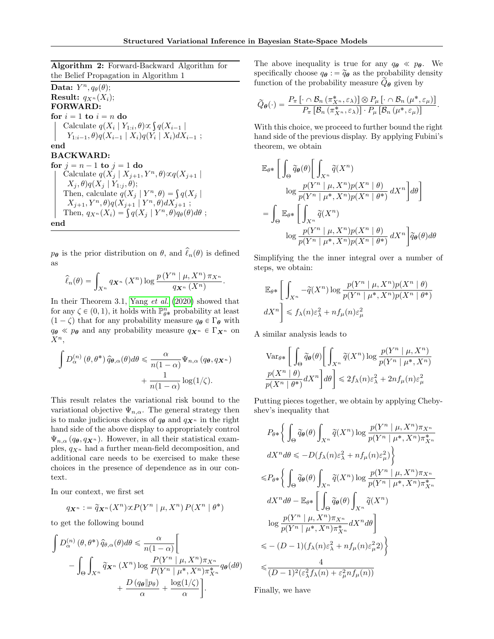.

Algorithm 2: Forward-Backward Algorithm for the Belief Propagation in Algorithm 1

<span id="page-7-0"></span>Data:  $Y^n, q_\theta(\theta);$ **Result:**  $q_{X^n}(X_i)$ ; FORWARD: for  $i = 1$  to  $i = n$  do  $i = 1$  to  $i = n$  do<br>Calculate  $q(X_i | Y_{1:i}, \theta) \propto \int q(X_{i-1} |$  $Y_{1:i-1}, \theta$ ) $q(X_{i-1} | X_i)q(Y_i | X_i)dX_{i-1} ;$ end BACKWARD: for  $j = n - 1$  to  $j = 1$  do Calculate  $q(X_j | X_{j+1}, Y^n, \theta) \propto q(X_{j+1} | \theta)$  $X_j$ ,  $\theta$ ) $q(X_j | Y_{1:j}, \theta)$ ;  $X_j$ ,  $\theta$ ) $q(X_j | Y_{1:j}, \theta)$ ;<br>Then, calculate  $q(X_j | Y^n, \theta) = \int q(X_j |$  $X_{j+1}, Y^n, \theta)q(X_{j+1} | Y^n, \theta)dX_{j+1} ;$ <br>Then,  $q_{X^n}(X_i) = \int q(X_j | Y^n, \theta)q_{\theta}(\theta)d\theta ;$ end

 $p_{\theta}$  is the prior distribution on  $\theta$ , and  $\hat{\ell}_n(\theta)$  is defined as

$$
\widehat{\ell}_n(\theta) = \int_{X^n} q_{\mathbf{X}^n} (X^n) \log \frac{p(Y^n | \mu, X^n) \pi_{X^n}}{q_{\mathbf{X}^n} (X^n)}
$$

In their Theorem 3.1, [Yang](#page-9-2) et al. [\(2020\)](#page-9-2) showed that for any  $\zeta \in (0, 1)$ , it holds with  $\mathbb{P}^n_{\theta^*}$  probability at least  $(1 - \zeta)$  that for any probability measure  $q_{\theta} \in \Gamma_{\theta}$  with  $q_{\theta} \ll p_{\theta}$  and any probability measure  $q_{\mathbf{X}^n} \in \Gamma_{\mathbf{X}^n}$  on  $X^n$ ,

$$
\int D_{\alpha}^{(n)}(\theta,\theta^*) \hat{q}_{\theta,\alpha}(\theta) d\theta \le \frac{\alpha}{n(1-\alpha)} \Psi_{n,\alpha}(q_{\theta},q_{\mathbf{X}^n}) + \frac{1}{n(1-\alpha)} \log(1/\zeta).
$$

This result relates the variational risk bound to the variational objective  $\Psi_{n,\alpha}$ . The general strategy then is to make judicious choices of  $q_{\theta}$  and  $q_{\mathbf{X}^n}$  in the right hand side of the above display to appropriately control  $\Psi_{n,\alpha}(q_{\boldsymbol{\theta}}, q_{\boldsymbol{X}^n})$ . However, in all their statistical examples,  $q_{X^n}$  had a further mean-field decomposition, and additional care needs to be exercised to make these choices in the presence of dependence as in our context.

In our context, we first set

$$
q_{\mathbf{X}^n} := \widetilde{q}_{\mathbf{X}^n}(X^n) \propto P(Y^n \mid \mu, X^n) P(X^n \mid \theta^*)
$$

to get the following bound

$$
\int D_{\alpha}^{(n)}(\theta,\theta^*) \hat{q}_{\theta,\alpha}(\theta) d\theta \le \frac{\alpha}{n(1-\alpha)} \Bigg[ - \int_{\Theta} \int_{X^n} \tilde{q}_{\mathbf{X}^n}(X^n) \log \frac{P(Y^n \mid \mu, X^n) \pi_{X^n}}{P(Y^n \mid \mu^*, X^n) \pi_{X^n}^*} q_{\theta}(d\theta) + \frac{D (q_{\theta} \| p_{\theta})}{\alpha} + \frac{\log(1/\zeta)}{\alpha} \Bigg].
$$

The above inequality is true for any  $q_{\theta} \ll p_{\theta}$ . We specifically choose  $q_{\theta} := \tilde{q}_{\theta}$  as the probability density function of the probability measure  $Q_{\theta}$  given by

$$
\widetilde{Q}_{\theta}(\cdot) = \frac{P_{\pi}\left[\cdot \cap \mathcal{B}_{n} \left(\pi_{X^{n}}^{*}, \varepsilon_{\lambda}\right)\right] \otimes P_{\mu}\left[\cdot \cap \mathcal{B}_{n} \left(\mu^{*}, \varepsilon_{\mu}\right)\right]}{P_{\pi}\left[\mathcal{B}_{n} \left(\pi_{X^{n}}^{*}, \varepsilon_{\lambda}\right)\right] \cdot P_{\mu}\left[\mathcal{B}_{n} \left(\mu^{*}, \varepsilon_{\mu}\right)\right]}.
$$

With this choice, we proceed to further bound the right hand side of the previous display. By applying Fubini's theorem, we obtain

$$
\mathbb{E}_{\theta^*} \Bigg[ \int_{\Theta} \widetilde{q}_{\theta}(\theta) \Bigg[ \int_{X^n} \widetilde{q}(X^n) \n\log \frac{p(Y^n \mid \mu, X^n) p(X^n \mid \theta)}{p(Y^n \mid \mu^*, X^n) p(X^n \mid \theta^*)} dX^n \Bigg] d\theta \Bigg] \n= \int_{\Theta} \mathbb{E}_{\theta^*} \Bigg[ \int_{X^n} \widetilde{q}(X^n) \n\log \frac{p(Y^n \mid \mu, X^n) p(X^n \mid \theta)}{p(Y^n \mid \mu^*, X^n) p(X^n \mid \theta^*)} dX^n \Bigg] \widetilde{q}_{\theta}(\theta) d\theta
$$

Simplifying the the inner integral over a number of steps, we obtain:

$$
\mathbb{E}_{\theta^*} \left[ \int_{X^n} -\widetilde{q}(X^n) \log \frac{p(Y^n \mid \mu, X^n) p(X^n \mid \theta)}{p(Y^n \mid \mu^*, X^n) p(X^n \mid \theta^*)} \right]
$$
  

$$
dX^n \right] \leq f_{\lambda}(n) \varepsilon_{\lambda}^2 + n f_{\mu}(n) \varepsilon_{\mu}^2
$$

A similar analysis leads to

$$
\operatorname{Var}_{\theta^*} \left[ \int_{\Theta} \widetilde{q}_{\theta}(\theta) \left[ \int_{X^n} \widetilde{q}(X^n) \log \frac{p(Y^n \mid \mu, X^n)}{p(Y^n \mid \mu^*, X^n)} \right] d\theta \right] \leq 2f_{\lambda}(n)\varepsilon_{\lambda}^2 + 2nf_{\mu}(n)\varepsilon_{\mu}^2
$$

Putting pieces together, we obtain by applying Chebyshev's inequality that

$$
P_{\theta*}\Biggl\{\int_{\Theta}\widetilde{q}_{\theta}(\theta)\int_{X^{n}}\widetilde{q}(X^{n})\log\frac{p(Y^{n} \mid \mu, X^{n})\pi_{X^{n}}}{p(Y^{n} \mid \mu^{*}, X^{n})\pi_{X^{n}}^{*}}
$$

$$
dX^{n}d\theta \leq -D(f_{\lambda}(n)\varepsilon_{\lambda}^{2} + nf_{\mu}(n)\varepsilon_{\mu}^{2})\Biggr\}
$$

$$
\leq P_{\theta*}\Biggl\{\int_{\Theta}\widetilde{q}_{\theta}(\theta)\int_{X^{n}}\widetilde{q}(X^{n})\log\frac{p(Y^{n} \mid \mu, X^{n})\pi_{X^{n}}}{p(Y^{n} \mid \mu^{*}, X^{n})\pi_{X^{n}}^{*}}
$$

$$
dX^{n}d\theta - \mathbb{E}_{\theta*}\Biggl[\int_{\Theta}\widetilde{q}_{\theta}(\theta)\int_{X^{n}}\widetilde{q}(X^{n})
$$

$$
\log\frac{p(Y^{n} \mid \mu, X^{n})\pi_{X^{n}}}{p(Y^{n} \mid \mu^{*}, X^{n})\pi_{X^{n}}^{*}}dX^{n}d\theta\Biggr]
$$

$$
\leq -(D-1)(f_{\lambda}(n)\varepsilon_{\lambda}^{2} + nf_{\mu}(n)\varepsilon_{\mu}^{2}2)\Biggr\}
$$

$$
\leq \frac{4}{(D-1)^{2}(\varepsilon_{\lambda}^{2}f_{\lambda}(n) + \varepsilon_{\mu}^{2}nf_{\mu}(n))}
$$

Finally, we have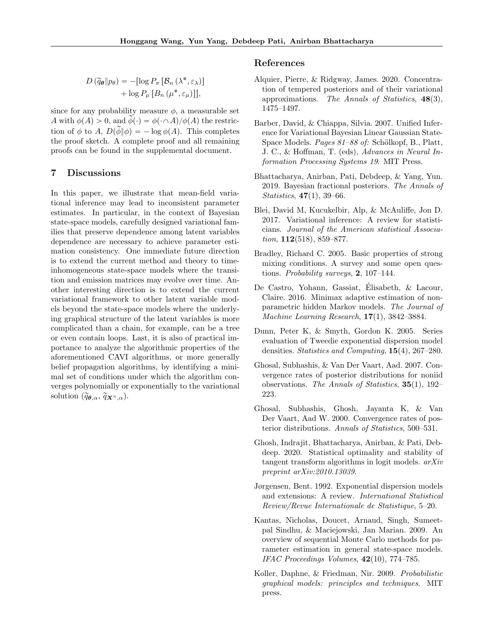$$
D(\widetilde{q}_{\boldsymbol{\theta}} \| p_{\boldsymbol{\theta}}) = -[\log P_{\pi} [\mathcal{B}_n (\lambda^*, \varepsilon_{\lambda})] + \log P_{\mu} [B_n (\mu^*, \varepsilon_{\mu})]],
$$

since for any probability measure  $\phi$ , a measurable set A with  $\phi(A) > 0$ , and  $\phi(\cdot) = \phi(\cdot \cap A)/\phi(A)$  the restriction of  $\phi$  to A,  $D(\tilde{\phi}|\phi) = -\log \phi(A)$ . This completes the proof sketch. A complete proof and all remaining proofs can be found in the supplemental document.

## 7 Discussions

In this paper, we illustrate that mean-field variational inference may lead to inconsistent parameter estimates. In particular, in the context of Bayesian state-space models, carefully designed variational families that preserve dependence among latent variables dependence are necessary to achieve parameter estimation consistency. One immediate future direction is to extend the current method and theory to timeinhomogeneous state-space models where the transition and emission matrices may evolve over time. Another interesting direction is to extend the current variational framework to other latent variable models beyond the state-space models where the underlying graphical structure of the latent variables is more complicated than a chain, for example, can be a tree or even contain loops. Last, it is also of practical importance to analyze the algorithmic properties of the aforementioned CAVI algorithms, or more generally belief propagation algorithms, by identifying a minimal set of conditions under which the algorithm converges polynomially or exponentially to the variational solution  $(\widetilde{q}_{\boldsymbol{\theta},\alpha}, \widetilde{q}_{\boldsymbol{X}^n,\alpha}).$ 

### References

- <span id="page-8-1"></span>Alquier, Pierre, & Ridgway, James. 2020. Concentration of tempered posteriors and of their variational approximations. The Annals of Statistics, 48(3), 1475–1497.
- <span id="page-8-3"></span>Barber, David, & Chiappa, Silvia. 2007. Unified Inference for Variational Bayesian Linear Gaussian State-Space Models. *Pages 81–88 of:* Schölkopf, B., Platt, J. C., & Hoffman, T. (eds), Advances in Neural Information Processing Systems 19. MIT Press.
- <span id="page-8-7"></span>Bhattacharya, Anirban, Pati, Debdeep, & Yang, Yun. 2019. Bayesian fractional posteriors. The Annals of Statistics, 47(1), 39–66.
- <span id="page-8-0"></span>Blei, David M, Kucukelbir, Alp, & McAuliffe, Jon D. 2017. Variational inference: A review for statisticians. Journal of the American statistical Association,  $112(518)$ , 859–877.
- <span id="page-8-8"></span>Bradley, Richard C. 2005. Basic properties of strong mixing conditions. A survey and some open questions. Probability surveys, 2, 107–144.
- <span id="page-8-9"></span>De Castro, Yohann, Gassiat, Elisabeth, & Lacour, ´ Claire. 2016. Minimax adaptive estimation of nonparametric hidden Markov models. The Journal of Machine Learning Research, 17(1), 3842–3884.
- <span id="page-8-12"></span>Dunn, Peter K, & Smyth, Gordon K. 2005. Series evaluation of Tweedie exponential dispersion model densities. Statistics and Computing, 15(4), 267–280.
- <span id="page-8-4"></span>Ghosal, Subhashis, & Van Der Vaart, Aad. 2007. Convergence rates of posterior distributions for noniid observations. The Annals of Statistics, 35(1), 192– 223.
- <span id="page-8-10"></span>Ghosal, Subhashis, Ghosh, Jayanta K, & Van Der Vaart, Aad W. 2000. Convergence rates of posterior distributions. Annals of Statistics, 500–531.
- <span id="page-8-2"></span>Ghosh, Indrajit, Bhattacharya, Anirban, & Pati, Debdeep. 2020. Statistical optimality and stability of tangent transform algorithms in logit models. arXiv preprint arXiv:2010.13039.
- <span id="page-8-11"></span>Jørgensen, Bent. 1992. Exponential dispersion models and extensions: A review. International Statistical Review/Revue Internationale de Statistique, 5–20.
- <span id="page-8-6"></span>Kantas, Nicholas, Doucet, Arnaud, Singh, Sumeetpal Sindhu, & Maciejowski, Jan Marian. 2009. An overview of sequential Monte Carlo methods for parameter estimation in general state-space models. IFAC Proceedings Volumes, 42(10), 774–785.
- <span id="page-8-5"></span>Koller, Daphne, & Friedman, Nir. 2009. Probabilistic graphical models: principles and techniques. MIT press.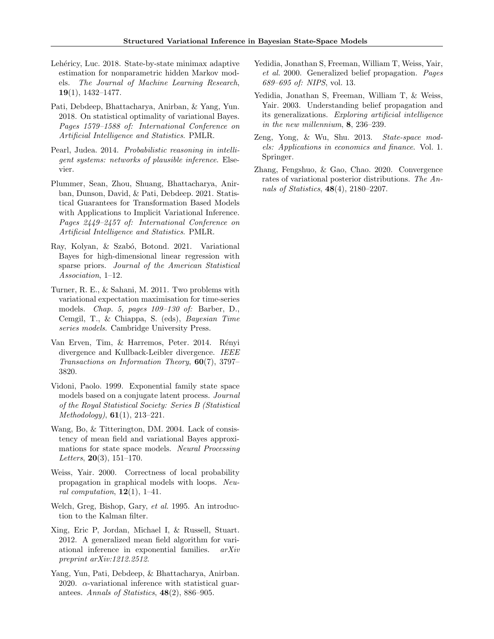- <span id="page-9-15"></span>Lehéricy, Luc. 2018. State-by-state minimax adaptive estimation for nonparametric hidden Markov models. The Journal of Machine Learning Research, 19(1), 1432–1477.
- <span id="page-9-1"></span>Pati, Debdeep, Bhattacharya, Anirban, & Yang, Yun. 2018. On statistical optimality of variational Bayes. Pages 1579–1588 of: International Conference on Artificial Intelligence and Statistics. PMLR.
- <span id="page-9-8"></span>Pearl, Judea. 2014. Probabilistic reasoning in intelligent systems: networks of plausible inference. Elsevier.
- <span id="page-9-4"></span>Plummer, Sean, Zhou, Shuang, Bhattacharya, Anirban, Dunson, David, & Pati, Debdeep. 2021. Statistical Guarantees for Transformation Based Models with Applications to Implicit Variational Inference. Pages 2449–2457 of: International Conference on Artificial Intelligence and Statistics. PMLR.
- <span id="page-9-5"></span>Ray, Kolyan, & Szabó, Botond. 2021. Variational Bayes for high-dimensional linear regression with sparse priors. Journal of the American Statistical Association, 1–12.
- <span id="page-9-6"></span>Turner, R. E., & Sahani, M. 2011. Two problems with variational expectation maximisation for time-series models. Chap. 5, pages 109–130 of: Barber, D., Cemgil, T., & Chiappa, S. (eds), Bayesian Time series models. Cambridge University Press.
- <span id="page-9-14"></span>Van Erven, Tim, & Harremos, Peter. 2014. Rényi divergence and Kullback-Leibler divergence. IEEE Transactions on Information Theory, 60(7), 3797– 3820.
- <span id="page-9-16"></span>Vidoni, Paolo. 1999. Exponential family state space models based on a conjugate latent process. Journal of the Royal Statistical Society: Series B (Statistical *Methodology*),  $61(1)$ ,  $213-221$ .
- <span id="page-9-0"></span>Wang, Bo, & Titterington, DM. 2004. Lack of consistency of mean field and variational Bayes approximations for state space models. Neural Processing Letters,  $20(3)$ , 151-170.
- <span id="page-9-9"></span>Weiss, Yair. 2000. Correctness of local probability propagation in graphical models with loops. Neural computation,  $12(1)$ , 1–41.
- <span id="page-9-13"></span>Welch, Greg, Bishop, Gary, et al. 1995. An introduction to the Kalman filter.
- <span id="page-9-7"></span>Xing, Eric P, Jordan, Michael I, & Russell, Stuart. 2012. A generalized mean field algorithm for variational inference in exponential families. arXiv preprint arXiv:1212.2512.
- <span id="page-9-2"></span>Yang, Yun, Pati, Debdeep, & Bhattacharya, Anirban. 2020.  $\alpha$ -variational inference with statistical guarantees. Annals of Statistics, 48(2), 886–905.
- <span id="page-9-11"></span>Yedidia, Jonathan S, Freeman, William T, Weiss, Yair, et al. 2000. Generalized belief propagation. Pages 689–695 of: NIPS, vol. 13.
- <span id="page-9-12"></span>Yedidia, Jonathan S, Freeman, William T, & Weiss, Yair. 2003. Understanding belief propagation and its generalizations. Exploring artificial intelligence in the new millennium, 8, 236–239.
- <span id="page-9-10"></span>Zeng, Yong, & Wu, Shu. 2013. State-space models: Applications in economics and finance. Vol. 1. Springer.
- <span id="page-9-3"></span>Zhang, Fengshuo, & Gao, Chao. 2020. Convergence rates of variational posterior distributions. The Annals of Statistics, 48(4), 2180–2207.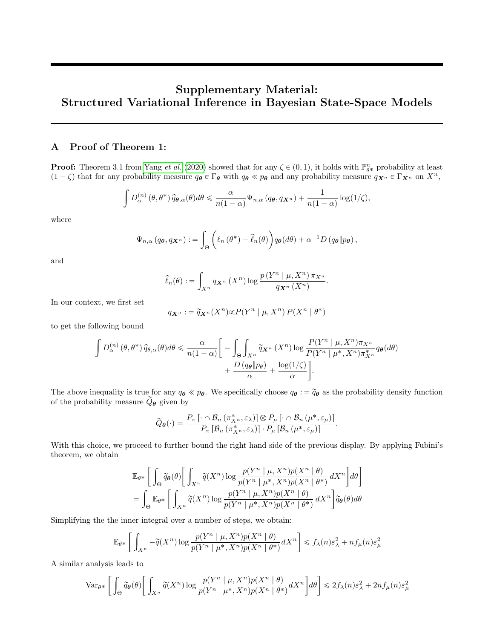# Supplementary Material: Structured Variational Inference in Bayesian State-Space Models

# A Proof of Theorem 1:

**Proof:** Theorem 3.1 from [Yang](#page-9-2) *et al.* [\(2020\)](#page-9-2) showed that for any  $\zeta \in (0,1)$ , it holds with  $\mathbb{P}_{\theta^*}^n$  probability at least  $(1 - \zeta)$  that for any probability measure  $q_{\theta} \in \Gamma_{\theta}$  with  $q_{\theta} \ll p_{\theta}$  and any probability measure  $q_{\mathbf{X}^n} \in \Gamma_{\mathbf{X}^n}$  on  $X^n$ ,

$$
\int D_{\alpha}^{(n)}(\theta,\theta^*)\,\widehat{q}_{\theta,\alpha}(\theta)d\theta \leq \frac{\alpha}{n(1-\alpha)}\Psi_{n,\alpha}(q_{\theta},q_{\boldsymbol{X}^n}) + \frac{1}{n(1-\alpha)}\log(1/\zeta),
$$

where

$$
\Psi_{n,\alpha}(q_{\boldsymbol{\theta}},q_{\boldsymbol{X}^n}):=\int_{\Theta}\bigg(\ell_n(\theta^*)-\widehat{\ell}_n(\theta)\bigg)q_{\boldsymbol{\theta}}(d\theta)+\alpha^{-1}D\left(q_{\boldsymbol{\theta}}\|p_{\boldsymbol{\theta}}\right),
$$

and

$$
\widehat{\ell}_n(\theta) := \int_{X^n} q_{\mathbf{X}^n} (X^n) \log \frac{p(Y^n \mid \mu, X^n) \pi_{X^n}}{q_{\mathbf{X}^n} (X^n)}
$$

.

In our context, we first set

$$
q_{\mathbf{X}^n} := \widetilde{q}_{\mathbf{X}^n}(X^n) \propto P(Y^n \mid \mu, X^n) P(X^n \mid \theta^*)
$$

to get the following bound

$$
\int D_{\alpha}^{(n)}(\theta,\theta^*) \hat{q}_{\theta,\alpha}(\theta) d\theta \le \frac{\alpha}{n(1-\alpha)} \bigg[ - \int_{\Theta} \int_{X^n} \tilde{q}_{X^n}(X^n) \log \frac{P(Y^n \mid \mu, X^n) \pi_{X^n}}{P(Y^n \mid \mu^*, X^n) \pi_{X^n}^*} q_{\theta}(d\theta) + \frac{D(q_{\theta} \mid p_{\theta})}{\alpha} + \frac{\log(1/\zeta)}{\alpha} \bigg].
$$

The above inequality is true for any  $q_{\theta} \ll p_{\theta}$ . We specifically choose  $q_{\theta} := \tilde{q}_{\theta}$  as the probability density function of the probability measure  $\widetilde{Q}_{\theta}$  given by

$$
\widetilde{Q}_{\theta}(\cdot) = \frac{P_{\pi}\left[\cdot \cap \mathcal{B}_{n} \left(\pi_{X^{n}}^{*}, \varepsilon_{\lambda}\right)\right] \otimes P_{\mu}\left[\cdot \cap \mathcal{B}_{n} \left(\mu^{*}, \varepsilon_{\mu}\right)\right]}{P_{\pi}\left[\mathcal{B}_{n} \left(\pi_{X^{n}}^{*}, \varepsilon_{\lambda}\right)\right] \cdot P_{\mu}\left[\mathcal{B}_{n} \left(\mu^{*}, \varepsilon_{\mu}\right)\right]}.
$$

With this choice, we proceed to further bound the right hand side of the previous display. By applying Fubini's theorem, we obtain

$$
\mathbb{E}_{\theta^*} \Bigg[ \int_{\Theta} \widetilde{q}_{\theta}(\theta) \Bigg[ \int_{X^n} \widetilde{q}(X^n) \log \frac{p(Y^n \mid \mu, X^n) p(X^n \mid \theta)}{p(Y^n \mid \mu^*, X^n) p(X^n \mid \theta^*)} dX^n \Bigg] d\theta \Bigg]
$$
  
= 
$$
\int_{\Theta} \mathbb{E}_{\theta^*} \Bigg[ \int_{X^n} \widetilde{q}(X^n) \log \frac{p(Y^n \mid \mu, X^n) p(X^n \mid \theta)}{p(Y^n \mid \mu^*, X^n) p(X^n \mid \theta^*)} dX^n \Bigg] \widetilde{q}_{\theta}(\theta) d\theta
$$

Simplifying the the inner integral over a number of steps, we obtain:

$$
\mathbb{E}_{\theta^*} \left[ \int_{X^n} -\widetilde{q}(X^n) \log \frac{p(Y^n \mid \mu, X^n) p(X^n \mid \theta)}{p(Y^n \mid \mu^*, X^n) p(X^n \mid \theta^*)} dX^n \right] \leq f_\lambda(n) \varepsilon_\lambda^2 + n f_\mu(n) \varepsilon_\mu^2
$$

A similar analysis leads to

$$
\operatorname{Var}_{\theta^*} \bigg[ \int_{\Theta} \widetilde{q}_{\theta}(\theta) \bigg[ \int_{X^n} \widetilde{q}(X^n) \log \frac{p(Y^n \mid \mu, X^n) p(X^n \mid \theta)}{p(Y^n \mid \mu^*, X^n) p(X^n \mid \theta^*)} dX^n \bigg] d\theta \bigg] \leq 2 f_{\lambda}(n) \varepsilon_{\lambda}^2 + 2n f_{\mu}(n) \varepsilon_{\mu}^2
$$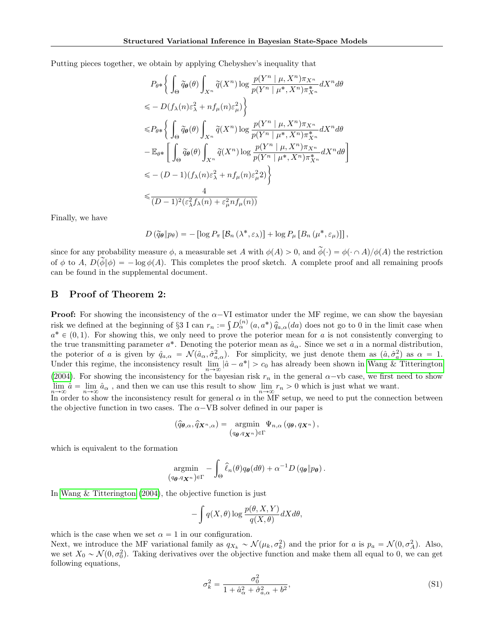Putting pieces together, we obtain by applying Chebyshev's inequality that "ż

$$
P_{\theta^*}\Biggl\{\int_{\Theta}\widetilde{q}_{\theta}(\theta)\int_{X^n}\widetilde{q}(X^n)\log\frac{p(Y^n \mid \mu, X^n)\pi_{X^n}}{p(Y^n \mid \mu^*, X^n)\pi_{X^n}^*}dX^n d\theta
$$
  
\n
$$
\leq D(f_{\lambda}(n)\varepsilon_{\lambda}^2 + nf_{\mu}(n)\varepsilon_{\mu}^2)\Biggr\}
$$
  
\n
$$
\leq P_{\theta^*}\Biggl\{\int_{\Theta}\widetilde{q}_{\theta}(\theta)\int_{X^n}\widetilde{q}(X^n)\log\frac{p(Y^n \mid \mu, X^n)\pi_{X^n}}{p(Y^n \mid \mu^*, X^n)\pi_{X^n}^*}dX^n d\theta
$$
  
\n
$$
-\mathbb{E}_{\theta^*}\Biggl[\int_{\Theta}\widetilde{q}_{\theta}(\theta)\int_{X^n}\widetilde{q}(X^n)\log\frac{p(Y^n \mid \mu, X^n)\pi_{X^n}}{p(Y^n \mid \mu^*, X^n)\pi_{X^n}^*}dX^n d\theta\Biggr]
$$
  
\n
$$
\leq -(D-1)(f_{\lambda}(n)\varepsilon_{\lambda}^2 + nf_{\mu}(n)\varepsilon_{\mu}^22)\Biggr\}
$$
  
\n
$$
\leq \frac{4}{(D-1)^2(\varepsilon_{\lambda}^2 f_{\lambda}(n) + \varepsilon_{\mu}^2 nf_{\mu}(n))}
$$

Finally, we have

$$
D\left(\widetilde{q}_{\boldsymbol{\theta}}\|p_{\theta}\right) = -\left[\log P_{\pi}\left[\mathcal{B}_{n}\left(\lambda^{*}, \varepsilon_{\lambda}\right)\right] + \log P_{\mu}\left[B_{n}\left(\mu^{*}, \varepsilon_{\mu}\right)\right]\right],
$$

since for any probability measure  $\phi$ , a measurable set A with  $\phi(A) > 0$ , and  $\tilde{\phi}(\cdot) = \phi(\cdot \cap A)/\phi(A)$  the restriction of  $\phi$  to A,  $D(\phi|\phi) = -\log \phi(A)$ . This completes the proof sketch. A complete proof and all remaining proofs can be found in the supplemental document.

## B Proof of Theorem 2:

**Proof:** For showing the inconsistency of the  $\alpha$ -VI estimator under the MF regime, we can show the bayesian risk we defined at the beginning of §3 I can  $r_n := \int D_{\alpha}^{(n)}(a, a^*) \hat{q}_{a,\alpha}(da)$  does not go to 0 in the limit case when  $a^* \in (0, 1)$ . For showing this, we only need to prove the poterior mean for a is not consistently converging to the true transmitting parameter  $a^*$ . Denoting the poterior mean as  $\hat{a}_{\alpha}$ . Since we set a in a normal distribution, the poterior of a is given by  $\hat{q}_{a,\alpha} = \mathcal{N}(\hat{a}_{\alpha}, \hat{\sigma}_{a,\alpha}^2)$ . For simplicity, we just denote them as  $(\hat{a}, \hat{\sigma}_a^2)$  as  $\alpha = 1$ . Under this regime, the inconsistency result  $\lim_{n\to\infty} |\hat{a} - a^*| > c_0$  has already been shown in [Wang & Titterington](#page-9-0) [\(2004\)](#page-9-0). For showing the inconsistency for the bayesian risk  $r_n$  in the general  $\alpha$ -vb case, we first need to show  $\lim_{n\to\infty}\hat{a}=\lim_{n\to\infty}\hat{a}_{\alpha}$ , and then we can use this result to show  $\lim_{n\to\infty}r_n>0$  which is just what we want.

In order to show the inconsistency result for general  $\alpha$  in the MF setup, we need to put the connection between the objective function in two cases. The  $\alpha$ -VB solver defined in our paper is

$$
(\widehat{q}_{\boldsymbol{\theta},\alpha},\widehat{q}_{\boldsymbol{X}^n,\alpha})=\operatorname*{argmin}_{(q_{\boldsymbol{\theta}},q_{\boldsymbol{X}^n})\in\Gamma}\Psi_{n,\alpha}(q_{\boldsymbol{\theta}},q_{\boldsymbol{X}^n}),
$$

which is equivalent to the formation

$$
\underset{q_{\boldsymbol{\theta}}, q_{\boldsymbol{X}}(n)}{\operatorname{argmin}} - \int_{\Theta} \widehat{\ell}_n(\theta) q_{\boldsymbol{\theta}}(d\theta) + \alpha^{-1} D(q_{\boldsymbol{\theta}} \| p_{\boldsymbol{\theta}}).
$$

In [Wang & Titterington \(2004\)](#page-9-0), the objective function is just

 $\theta$ 

$$
- \int q(X, \theta) \log \frac{p(\theta, X, Y)}{q(X, \theta)} dX d\theta,
$$

which is the case when we set  $\alpha = 1$  in our configuration.

Next, we introduce the MF variational family as  $q_{X_k} \sim \mathcal{N}(\mu_k, \sigma_k^2)$  and the prior for a is  $p_a = \mathcal{N}(0, \sigma_A^2)$ . Also, we set  $X_0 \sim \mathcal{N}(0, \sigma_0^2)$ . Taking derivatives over the objective function and make them all equal to 0, we can get following equations,

<span id="page-11-0"></span>
$$
\sigma_k^2 = \frac{\sigma_0^2}{1 + \hat{a}_{\alpha}^2 + \hat{\sigma}_{a,\alpha}^2 + b^2},\tag{S1}
$$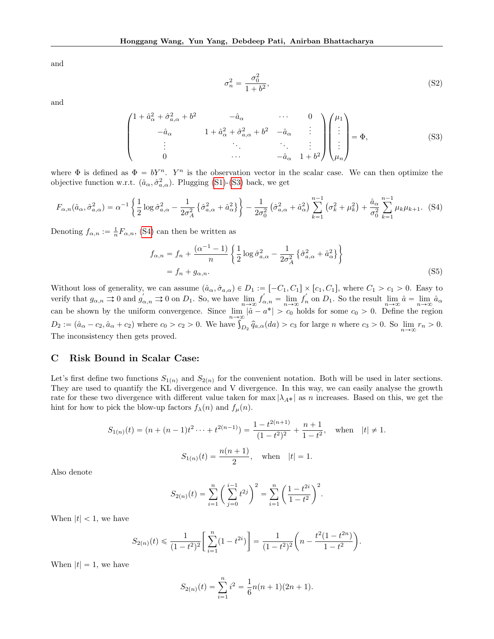and

<span id="page-12-1"></span><span id="page-12-0"></span>
$$
\sigma_n^2 = \frac{\sigma_0^2}{1 + b^2},\tag{S2}
$$

and

$$
\begin{pmatrix}\n1 + \hat{a}_{\alpha}^{2} + \hat{\sigma}_{a,\alpha}^{2} + b^{2} & -\hat{a}_{\alpha} & \cdots & 0 \\
-\hat{a}_{\alpha} & 1 + \hat{a}_{\alpha}^{2} + \hat{\sigma}_{a,\alpha}^{2} + b^{2} & -\hat{a}_{\alpha} & \vdots \\
\vdots & \ddots & \ddots & \vdots \\
0 & \cdots & -\hat{a}_{\alpha} & 1 + b^{2}\n\end{pmatrix}\n\begin{pmatrix}\n\mu_{1} \\
\vdots \\
\vdots \\
\mu_{n}\n\end{pmatrix} = \Phi,
$$
\n(S3)

where  $\Phi$  is defined as  $\Phi = bY^n$ . Y<sup>n</sup> is the observation vector in the scalar case. We can then optimize the objective function w.r.t.  $(\hat{a}_{\alpha}, \hat{\sigma}_{a,\alpha}^2)$ . Plugging [\(S1\)](#page-11-0)-[\(S3\)](#page-12-0) back, we get

$$
F_{\alpha,n}(\hat{a}_{\alpha},\hat{\sigma}_{a,\alpha}^{2}) = \alpha^{-1} \left\{ \frac{1}{2} \log \hat{\sigma}_{a,\alpha}^{2} - \frac{1}{2\sigma_{A}^{2}} \left\{ \hat{\sigma}_{a,\alpha}^{2} + \hat{a}_{\alpha}^{2} \right\} \right\} - \frac{1}{2\sigma_{0}^{2}} \left( \hat{\sigma}_{a,\alpha}^{2} + \hat{a}_{\alpha}^{2} \right) \sum_{k=1}^{n-1} \left( \sigma_{k}^{2} + \mu_{k}^{2} \right) + \frac{\hat{a}_{\alpha}}{\sigma_{0}^{2}} \sum_{k=1}^{n-1} \mu_{k} \mu_{k+1}.
$$
 (S4)

Denoting  $f_{\alpha,n} := \frac{1}{n} F_{\alpha,n}$ , [\(S4\)](#page-12-1) can then be written as

$$
f_{\alpha,n} = f_n + \frac{(\alpha^{-1} - 1)}{n} \left\{ \frac{1}{2} \log \hat{\sigma}_{a,\alpha}^2 - \frac{1}{2\sigma_A^2} \left\{ \hat{\sigma}_{a,\alpha}^2 + \hat{a}_{\alpha}^2 \right\} \right\}
$$
  
=  $f_n + g_{\alpha,n}$ . (S5)

Without loss of generality, we can assume  $(\hat{a}_{\alpha}, \hat{\sigma}_{a,\alpha}) \in D_1 := [-C_1, C_1] \times [c_1, C_1]$ , where  $C_1 > c_1 > 0$ . Easy to verify that  $g_{\alpha,n} \rightrightarrows 0$  and  $g'_{\alpha,n} \rightrightarrows 0$  on  $D_1$ . So, we have  $\lim_{n \to \infty} f'_{\alpha,n} = \lim_{n \to \infty} f'_n$  on  $D_1$ . So the result  $\lim_{n \to \infty} \hat{a} = \lim_{n \to \infty} \hat{a}_{\alpha}$ can be shown by the uniform convergence. Since  $\lim_{n\to\infty} |\hat{a} - a^*| > c_0$  holds for some  $c_0 > 0$ . Define the region  $D_2 := (\hat{a}_{\alpha} - c_2, \hat{a}_{\alpha} + c_2)$  where  $c_0 > c_2 > 0$ . We have  $\int_{D_2} \hat{q}_{a,\alpha}(da) > c_3$  for large *n* wher The inconsistency then gets proved.

## C Risk Bound in Scalar Case:

Let's first define two functions  $S_{1(n)}$  and  $S_{2(n)}$  for the convenient notation. Both will be used in later sections. They are used to quantify the KL divergence and V divergence. In this way, we can easily analyse the growth rate for these two divergence with different value taken for max  $|\lambda_{A*}|$  as n increases. Based on this, we get the hint for how to pick the blow-up factors  $f_{\lambda}(n)$  and  $f_{\mu}(n)$ .

$$
S_{1(n)}(t) = (n + (n-1)t^2 \dots + t^{2(n-1)}) = \frac{1 - t^{2(n+1)}}{(1 - t^2)^2} + \frac{n+1}{1 - t^2}, \text{ when } |t| \neq 1.
$$

$$
S_{1(n)}(t) = \frac{n(n+1)}{2}, \text{ when } |t| = 1.
$$

Also denote

$$
S_{2(n)}(t) = \sum_{i=1}^{n} \left(\sum_{j=0}^{i-1} t^{2j}\right)^2 = \sum_{i=1}^{n} \left(\frac{1-t^{2i}}{1-t^2}\right)^2.
$$

When  $|t| < 1$ , we have

$$
S_{2(n)}(t) \leq \frac{1}{(1-t^2)^2} \left[ \sum_{i=1}^n (1-t^{2i}) \right] = \frac{1}{(1-t^2)^2} \left( n - \frac{t^2(1-t^{2n})}{1-t^2} \right).
$$

When  $|t| = 1$ , we have

$$
S_{2(n)}(t) = \sum_{i=1}^{n} i^{2} = \frac{1}{6}n(n+1)(2n+1).
$$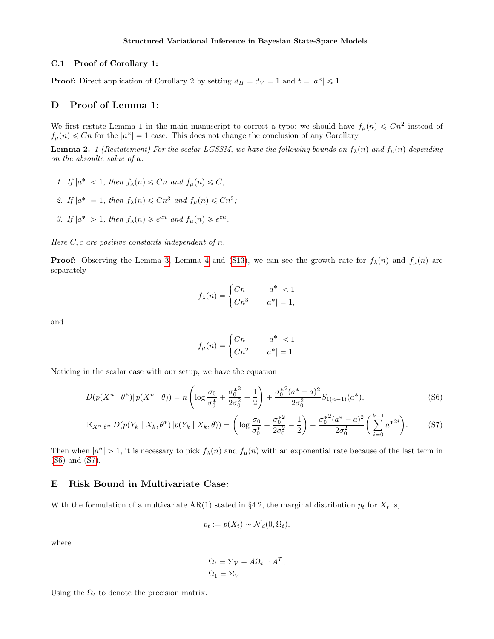### C.1 Proof of Corollary 1:

**Proof:** Direct application of Corollary 2 by setting  $d_H = d_V = 1$  and  $t = |a^*| \leq 1$ .

### D Proof of Lemma 1:

We first restate Lemma 1 in the main manuscript to correct a typo; we should have  $f_{\mu}(n) \leq Cn^2$  instead of  $f_{\mu}(n) \leq Cn$  for the  $|a^*| = 1$  case. This does not change the conclusion of any Corollary.

<span id="page-13-0"></span>**Lemma 2.** 1 (Restatement) For the scalar LGSSM, we have the following bounds on  $f_{\lambda}(n)$  and  $f_{\mu}(n)$  depending on the absoulte value of a:

- 1. If  $|a^*| < 1$ , then  $f_{\lambda}(n) \leq Cn$  and  $f_{\mu}(n) \leq C$ ;
- 2. If  $|a^*| = 1$ , then  $f_{\lambda}(n) \leq Cn^3$  and  $f_{\mu}(n) \leq Cn^2$ ;
- 3. If  $|a^*| > 1$ , then  $f_{\lambda}(n) \geq e^{cn}$  and  $f_{\mu}(n) \geq e^{cn}$ .

Here  $C, c$  are positive constants independent of n.

**Proof:** Observing the Lemma [3,](#page-14-0) Lemma [4](#page-15-0) and [\(S13\)](#page-17-0), we can see the growth rate for  $f_{\lambda}(n)$  and  $f_{\mu}(n)$  are separately

$$
f_{\lambda}(n) = \begin{cases} Cn & |a^*| < 1 \\ Cn^3 & |a^*| = 1, \end{cases}
$$

and

<span id="page-13-2"></span><span id="page-13-1"></span>
$$
f_{\mu}(n) = \begin{cases} Cn & |a^*| < 1 \\ Cn^2 & |a^*| = 1. \end{cases}
$$

Noticing in the scalar case with our setup, we have the equation

$$
D(p(X^n \mid \theta^*) \| p(X^n \mid \theta)) = n \left( \log \frac{\sigma_0}{\sigma_0^*} + \frac{\sigma_0^{*2}}{2\sigma_0^2} - \frac{1}{2} \right) + \frac{\sigma_0^{*2} (a^* - a)^2}{2\sigma_0^2} S_{1(n-1)}(a^*),
$$
\n(S6)

$$
\mathbb{E}_{X^n|\theta^*} D(p(Y_k \mid X_k, \theta^*) \| p(Y_k \mid X_k, \theta)) = \left( \log \frac{\sigma_0}{\sigma_0^*} + \frac{\sigma_0^{*2}}{2\sigma_0^2} - \frac{1}{2} \right) + \frac{\sigma_0^{*2}(a^* - a)^2}{2\sigma_0^2} \left( \sum_{i=0}^{k-1} a^{*2i} \right). \tag{S7}
$$

Then when  $|a^*| > 1$ , it is necessary to pick  $f_{\lambda}(n)$  and  $f_{\mu}(n)$  with an exponential rate because of the last term in [\(S6\)](#page-13-1) and [\(S7\)](#page-13-2).

## E Risk Bound in Multivariate Case:

With the formulation of a multivariate AR(1) stated in §4.2, the marginal distribution  $p_t$  for  $X_t$  is,

$$
p_t := p(X_t) \sim \mathcal{N}_d(0, \Omega_t),
$$

where

$$
\Omega_t = \Sigma_V + A\Omega_{t-1}A^T,
$$
  

$$
\Omega_1 = \Sigma_V.
$$

Using the  $\Omega_t$  to denote the precision matrix.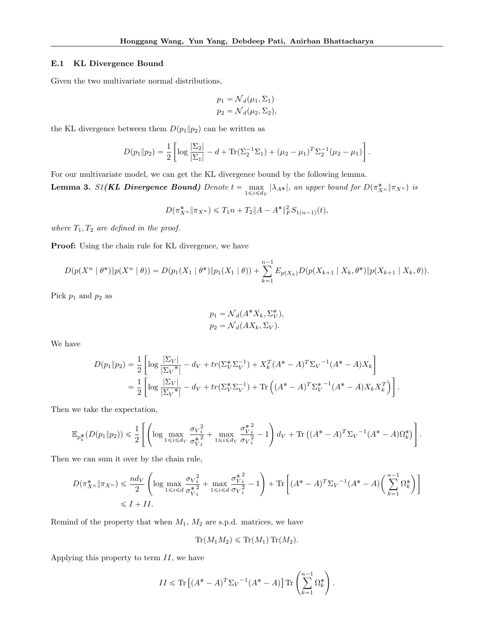### E.1 KL Divergence Bound

Given the two multivariate normal distributions,

$$
p_1 = \mathcal{N}_d(\mu_1, \Sigma_1)
$$
  

$$
p_2 = \mathcal{N}_d(\mu_2, \Sigma_2),
$$

the KL divergence between them  $D(p_1||p_2)$  can be written as

$$
D(p_1 \| p_2) = \frac{1}{2} \left[ \log \frac{|\Sigma_2|}{|\Sigma_1|} - d + \text{Tr}(\Sigma_2^{-1} \Sigma_1) + (\mu_2 - \mu_1)^T \Sigma_2^{-1} (\mu_2 - \mu_1) \right].
$$

For our multivariate model, we can get the KL divergence bound by the following lemma.

<span id="page-14-0"></span>**Lemma 3.** S1(KL Divergence Bound) Denote  $t = \max_{1 \leq i \leq d_V} |\lambda_{A^*}|$ , an upper bound for  $D(\pi_{X^n}^* \| \pi_{X^n})$  is

$$
D(\pi_{X^n}^* \| \pi_{X^n}) \le T_1 n + T_2 \| A - A^* \|_F^2 S_{1(n-1)}(t),
$$

where  $T_1, T_2$  are defined in the proof.

Proof: Using the chain rule for KL divergence, we have

$$
D(p(X^{n} \mid \theta^{*}) \| p(X^{n} \mid \theta)) = D(p_{1}(X_{1} \mid \theta^{*}) \| p_{1}(X_{1} \mid \theta)) + \sum_{k=1}^{n-1} E_{p(X_{k})} D(p(X_{k+1} \mid X_{k}, \theta^{*}) \| p(X_{k+1} \mid X_{k}, \theta)).
$$

Pick  $p_1$  and  $p_2$  as

$$
p_1 = \mathcal{N}_d(A^*X_k, \Sigma_V^*),
$$
  

$$
p_2 = \mathcal{N}_d(AX_k, \Sigma_V).
$$

We have

$$
D(p_1 \| p_2) = \frac{1}{2} \left[ \log \frac{|\Sigma_V|}{|\Sigma_V^*|} - d_V + tr(\Sigma_V^* \Sigma_V^{-1}) + X_k^T (A^* - A)^T \Sigma_V^{-1} (A^* - A) X_k \right]
$$
  
= 
$$
\frac{1}{2} \left[ \log \frac{|\Sigma_V|}{|\Sigma_V^*|} - d_V + tr(\Sigma_V^* \Sigma_V^{-1}) + \text{Tr} \left( (A^* - A)^T \Sigma_V^{* - 1} (A^* - A) X_k X_k^T \right) \right].
$$

Then we take the expectation,

$$
\mathbb{E}_{p_k^*}(D(p_1 \| p_2)) \leqslant \frac{1}{2} \left[ \left( \log \max_{1 \leqslant i \leqslant d_V} \frac{\sigma_{V_i^2}^2}{\sigma_{V_i^2}^{*2}} + \max_{1 \leqslant i \leqslant d_V} \frac{\sigma_{V_i^2}^{*2}}{\sigma_{V_i^2}^2} - 1 \right) d_V + \text{Tr} \left( (A^* - A)^T \Sigma_V^{-1} (A^* - A) \Omega_k^* \right) \right].
$$

Then we can sum it over by the chain rule,

$$
D(\pi_{X^n}^* \| \pi_{X^n}) \leq \frac{nd_V}{2} \left( \log \max_{1 \leq i \leq d} \frac{\sigma_{V_i}^2}{\sigma_{V_i}^{*2}} + \max_{1 \leq i \leq d} \frac{\sigma_{V_i}^{*2}}{\sigma_{V_i}^{*2}} - 1 \right) + \text{Tr} \left[ (A^* - A)^T \Sigma_V^{-1} (A^* - A) \left( \sum_{k=1}^{n-1} \Omega_k^* \right) \right]
$$
  
 
$$
\leq I + II.
$$

Remind of the property that when  $M_1$ ,  $M_2$  are s.p.d. matrices, we have

$$
\text{Tr}(M_1M_2) \leqslant \text{Tr}(M_1)\,\text{Tr}(M_2).
$$

Applying this property to term  $II$ , we have

$$
II \leqslant \text{Tr}\left[ (A^* - A)^T \Sigma_V^{-1} (A^* - A) \right] \text{Tr}\left( \sum_{k=1}^{n-1} \Omega_k^* \right).
$$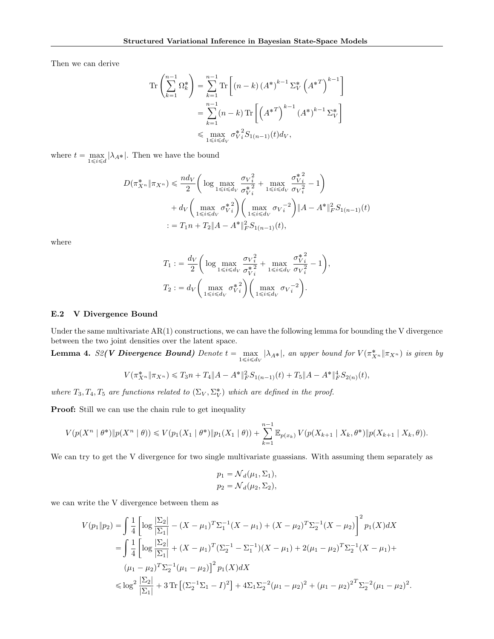Then we can derive

$$
\begin{split} \operatorname{Tr}\left(\sum_{k=1}^{n-1} \Omega_k^*\right) &= \sum_{k=1}^{n-1} \operatorname{Tr}\left[\left(n-k\right)\left(A^*\right)^{k-1} \Sigma_V^*\left(A^{*T}\right)^{k-1}\right] \\ &= \sum_{k=1}^{n-1} (n-k) \operatorname{Tr}\left[\left(A^{*T}\right)^{k-1}\left(A^*\right)^{k-1} \Sigma_V^*\right] \\ &\leqslant \max_{1 \leqslant i \leqslant d_V} \sigma_{Vi}^{*2} S_{1(n-1)}(t) d_V, \end{split}
$$

where  $t = \max_{1 \leq i \leq d} |\lambda_{A^*}|$ . Then we have the bound

$$
D(\pi_{X^n}^* \| \pi_{X^n}) \leq \frac{nd_V}{2} \left( \log \max_{1 \leq i \leq d_V} \frac{\sigma_{V_i}^2}{\sigma_{V_i}^{*2}} + \max_{1 \leq i \leq d_V} \frac{\sigma_{V_i}^{*2}}{\sigma_{V_i}^{*2}} - 1 \right) + d_V \left( \max_{1 \leq i \leq d_V} \sigma_{V_i}^{*2} \right) \left( \max_{1 \leq i \leq d_V} \sigma_{V_i}^{-2} \right) \| A - A^* \|_F^2 S_{1(n-1)}(t) := T_1 n + T_2 \| A - A^* \|_F^2 S_{1(n-1)}(t),
$$

where

$$
T_1 := \frac{d_V}{2} \left( \log \max_{1 \le i \le d_V} \frac{\sigma_{V_i}^2}{\sigma_{V_i}^{*2}} + \max_{1 \le i \le d_V} \frac{\sigma_{V_i}^{*2}}{\sigma_{V_i}^{*2}} - 1 \right),
$$
  

$$
T_2 := d_V \left( \max_{1 \le i \le d_V} \sigma_{V_i}^{*2} \right) \left( \max_{1 \le i \le d_V} \sigma_{V_i}^{-2} \right).
$$

### E.2 V Divergence Bound

Under the same multivariate AR(1) constructions, we can have the following lemma for bounding the V divergence between the two joint densities over the latent space.

<span id="page-15-0"></span>**Lemma 4.** S2(V Divergence Bound) Denote  $t = \max_{1 \leq i \leq d_V} |\lambda_{A^*}|$ , an upper bound for  $V(\pi_{X^n}^* \| \pi_{X^n})$  is given by

$$
V(\pi_{X^n}^* \| \pi_{X^n}) \le T_3 n + T_4 \|A - A^*\|_F^2 S_{1(n-1)}(t) + T_5 \|A - A^*\|_F^4 S_{2(n)}(t),
$$

where  $T_3, T_4, T_5$  are functions related to  $(\Sigma_V, \Sigma_V^*)$  which are defined in the proof.

Proof: Still we can use the chain rule to get inequality

$$
V(p(X^{n} \mid \theta^{*}) \| p(X^{n} \mid \theta)) \leq V(p_{1}(X_{1} \mid \theta^{*}) \| p_{1}(X_{1} \mid \theta)) + \sum_{k=1}^{n-1} \mathbb{E}_{p(x_{k})} V(p(X_{k+1} \mid X_{k}, \theta^{*}) \| p(X_{k+1} \mid X_{k}, \theta)).
$$

We can try to get the V divergence for two single multivariate guassians. With assuming them separately as

$$
p_1 = \mathcal{N}_d(\mu_1, \Sigma_1),
$$
  

$$
p_2 = \mathcal{N}_d(\mu_2, \Sigma_2),
$$

we can write the V divergence between them as

$$
V(p_1 \| p_2) = \int \frac{1}{4} \left[ \log \frac{|\Sigma_2|}{|\Sigma_1|} - (X - \mu_1)^T \Sigma_1^{-1} (X - \mu_1) + (X - \mu_2)^T \Sigma_2^{-1} (X - \mu_2) \right]^2 p_1(X) dX
$$
  
= 
$$
\int \frac{1}{4} \left[ \log \frac{|\Sigma_2|}{|\Sigma_1|} + (X - \mu_1)^T (\Sigma_2^{-1} - \Sigma_1^{-1}) (X - \mu_1) + 2(\mu_1 - \mu_2)^T \Sigma_2^{-1} (X - \mu_1) + (\mu_1 - \mu_2)^T \Sigma_2^{-1} (\mu_1 - \mu_2) \right]^2 p_1(X) dX
$$
  

$$
\leq \log^2 \frac{|\Sigma_2|}{|\Sigma_1|} + 3 \text{Tr} \left[ (\Sigma_2^{-1} \Sigma_1 - I)^2 \right] + 4 \Sigma_1 \Sigma_2^{-2} (\mu_1 - \mu_2)^2 + (\mu_1 - \mu_2)^2 \Sigma_2^{-2} (\mu_1 - \mu_2)^2.
$$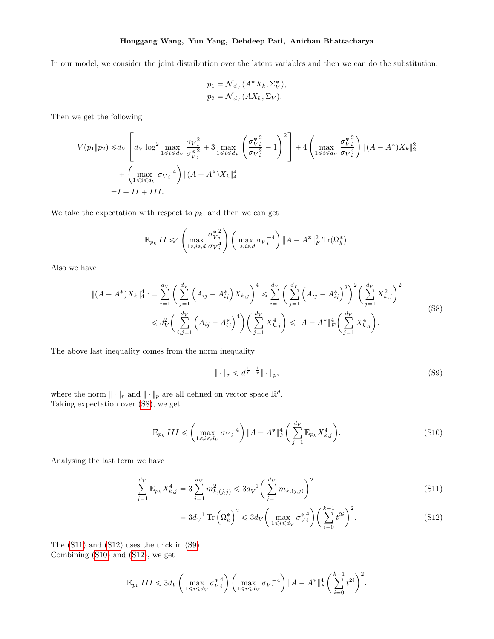In our model, we consider the joint distribution over the latent variables and then we can do the substitution,

$$
p_1 = \mathcal{N}_{d_V}(A^*X_k, \Sigma_V^*),
$$
  

$$
p_2 = \mathcal{N}_{d_V}(AX_k, \Sigma_V).
$$

Then we get the following

$$
V(p_1 \| p_2) \le d_V \left[ d_V \log^2 \max_{1 \le i \le d_V} \frac{\sigma_{V_i^2}}{\sigma_{V_i^2}^*} + 3 \max_{1 \le i \le d_V} \left( \frac{\sigma_{V_i^2}^{*^2}}{\sigma_{V_i^2}^2} - 1 \right)^2 \right] + 4 \left( \max_{1 \le i \le d_V} \frac{\sigma_{V_i^2}^{*^2}}{\sigma_{V_i^4}^*} \right) \|(A - A^*)X_k\|_2^2
$$
  
+  $\left( \max_{1 \le i \le d_V} \sigma_{V_i^{-4}} \right) \|(A - A^*)X_k\|_4^4$   
= I + II + III.

We take the expectation with respect to  $p_k$ , and then we can get

$$
\mathbb{E}_{p_k} II \leq 4 \left( \max_{1 \leq i \leq d} \frac{\sigma_{V_i}^{* \ 2}}{\sigma_{V_i}^{4}} \right) \left( \max_{1 \leq i \leq d} \sigma_{V_i}^{-4} \right) \| A - A^* \|_F^2 \ \text{Tr}(\Omega_k^*).
$$

Also we have

$$
\|(A - A^*)X_k\|_4^4 := \sum_{i=1}^{d_V} \left( \sum_{j=1}^{d_V} \left( A_{ij} - A_{ij}^* \right) X_{k,j} \right)^4 \leq \sum_{i=1}^{d_V} \left( \sum_{j=1}^{d_V} \left( A_{ij} - A_{ij}^* \right)^2 \right)^2 \left( \sum_{j=1}^{d_V} X_{k,j}^2 \right)^2
$$
  

$$
\leq d_V^2 \left( \sum_{i,j=1}^{d_V} \left( A_{ij} - A_{ij}^* \right)^4 \right) \left( \sum_{j=1}^{d_V} X_{k,j}^4 \right) \leq \|A - A^*\|_F^4 \left( \sum_{j=1}^{d_V} X_{k,j}^4 \right).
$$
 (S8)

The above last inequality comes from the norm inequality

<span id="page-16-4"></span><span id="page-16-3"></span><span id="page-16-1"></span><span id="page-16-0"></span>
$$
\|\cdot\|_{r} \leqslant d^{\frac{1}{r}-\frac{1}{p}}\|\cdot\|_{p},\tag{S9}
$$

where the norm  $\|\cdot\|_r$  and  $\|\cdot\|_p$  are all defined on vector space  $\mathbb{R}^d$ . Taking expectation over [\(S8\)](#page-16-0), we get

$$
\mathbb{E}_{p_k} III \leqslant \left( \max_{1 \leqslant i \leqslant d_V} \sigma_{V_i}^{-4} \right) \| A - A^* \|_F^4 \left( \sum_{j=1}^{d_V} \mathbb{E}_{p_k} X_{k,j}^4 \right). \tag{S10}
$$

Analysing the last term we have

$$
\sum_{j=1}^{d_V} \mathbb{E}_{p_k} X_{k,j}^4 = 3 \sum_{j=1}^{d_V} m_{k,(j,j)}^2 \leq 3d_V^{-1} \left( \sum_{j=1}^{d_V} m_{k,(j,j)} \right)^2
$$
\n(S11)

<span id="page-16-2"></span>
$$
=3d_V^{-1}\operatorname{Tr}\left(\Omega_k^*\right)^2\leqslant 3d_V\left(\max_{1\leqslant i\leqslant d_V}\sigma_{V_i}^{*4}\right)\left(\sum_{i=0}^{k-1}t^{2i}\right)^2.\tag{S12}
$$

The [\(S11\)](#page-16-1) and [\(S12\)](#page-16-2) uses the trick in [\(S9\)](#page-16-3). Combining [\(S10\)](#page-16-4) and [\(S12\)](#page-16-2), we get

$$
\mathbb{E}_{p_k} \, III \leqslant 3d_V \bigg(\max_{1 \leqslant i \leqslant d_V} \sigma_{V\, i}^{* \, 4}\bigg) \, \bigg(\max_{1 \leqslant i \leqslant d_V} \sigma_{V\, i}^{-4}\bigg) \, \|A - A^*\|_F^4 \bigg(\sum_{i=0}^{k-1} t^{2i}\bigg)^2.
$$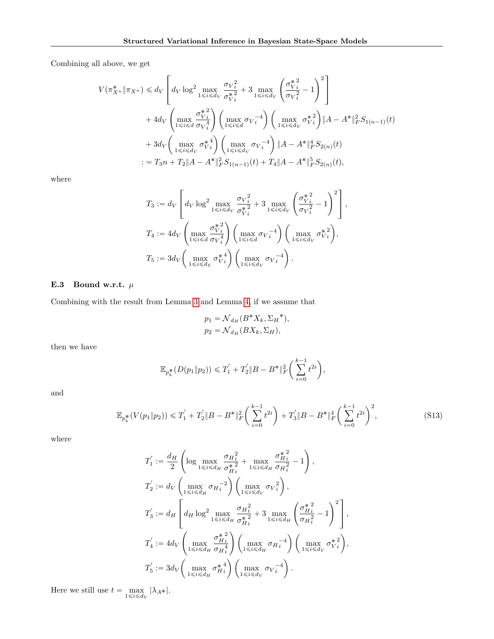Combining all above, we get

$$
V(\pi_{X^n}^* \| \pi_{X^n}) \le d_V \left[ d_V \log^2 \max_{1 \le i \le d_V} \frac{\sigma_{V_i}^2}{\sigma_{V_i}^{*2}} + 3 \max_{1 \le i \le d_V} \left( \frac{\sigma_{V_i}^{*2}}{\sigma_{V_i}^2} - 1 \right)^2 \right] + 4d_V \left( \max_{1 \le i \le d} \frac{\sigma_{V_i}^{*2}}{\sigma_{V_i}^4} \right) \left( \max_{1 \le i \le d'} \sigma_{V_i}^{-4} \right) \left( \max_{1 \le i \le d_V} \sigma_{V_i}^{*2} \right) \| A - A^* \|^2_F S_{1(n-1)}(t) + 3d_V \left( \max_{1 \le i \le d_V} \sigma_{V_i}^{*4} \right) \left( \max_{1 \le i \le d_V} \sigma_{V_i}^{-4} \right) \| A - A^* \|^4_F S_{2(n)}(t) := T_3 n + T_2 \| A - A^* \|^2_F S_{1(n-1)}(t) + T_4 \| A - A^* \|^5_F S_{2(n)}(t),
$$

where

$$
\begin{split} T_3&:=d_V\left[d_V\log^2\max_{1\leqslant i\leqslant d_V}\frac{\sigma_{V_i^2}}{\sigma_{V_i^2}^{\ast\,2}}+3\max_{1\leqslant i\leqslant d_V}\left(\frac{\sigma_{V_i^2}^{\ast\,2}}{\sigma_{V_i^2}^2}-1\right)^2\right],\\ T_4&:=4d_V\left(\max_{1\leqslant i\leqslant d}\frac{\sigma_{V_i^2}^{\ast\,2}}{\sigma_{V_i^4}^4}\right)\left(\max_{1\leqslant i\leqslant d_V}\sigma_{V_i^2}^{-4}\right)\left(\max_{1\leqslant i\leqslant d_V}\sigma_{V_i^2}^{\ast\,2}\right),\\ T_5&:=3d_V\left(\max_{1\leqslant i\leqslant d_V}\sigma_{V_i^4}^{\ast\,4}\right)\left(\max_{1\leqslant i\leqslant d_V}\sigma_{V_i^2}^{-4}\right). \end{split}
$$

# E.3 Bound w.r.t.  $\mu$

Combining with the result from Lemma [3](#page-14-0) and Lemma [4,](#page-15-0) if we assume that

<span id="page-17-0"></span>
$$
p_1 = \mathcal{N}_{d_H}(B^*X_k, \Sigma_H^*),
$$
  

$$
p_2 = \mathcal{N}_{d_H}(BX_k, \Sigma_H),
$$

then we have

$$
\mathbb{E}_{p_k^*}(D(p_1 \| p_2)) \le T_1' + T_2' \|B - B^*\|_F^2 \left(\sum_{i=0}^{k-1} t^{2i}\right),
$$

and

$$
\mathbb{E}_{p_k^*}(V(p_1 \| p_2)) \le T_1' + T_2' \|B - B^*\|_F^2 \left(\sum_{i=0}^{k-1} t^{2i}\right) + T_3' \|B - B^*\|_F^4 \left(\sum_{i=0}^{k-1} t^{2i}\right)^2,\tag{S13}
$$

where

$$
\begin{split} T_1^{'}&:=\frac{d_H}{2}\left(\log\max_{1\leqslant i\leqslant d_H}\frac{\sigma_H^2}{\sigma_{H_i}^2}+\max_{1\leqslant i\leqslant d_H}\frac{\sigma_{H_i}^{\ast\,2}}{\sigma_{H_i}^{\ast\,2}}-1\right),\\ T_2^{'}&:=d_V\left(\max_{1\leqslant i\leqslant d_H}\sigma_{H_i}^{-2}\right)\left(\max_{1\leqslant i\leqslant d_V}\sigma_{V_i}^{\ast\,2}\right),\\ T_3^{'}&:=d_H\left[d_H\log^2\max_{1\leqslant i\leqslant d_H}\frac{\sigma_{H_i}^2}{\sigma_{H_i}^{\ast\,2}}+3\max_{1\leqslant i\leqslant d_H}\left(\frac{\sigma_{H_i}^{\ast\,2}}{\sigma_{H_i}^{\ast\,2}}-1\right)^2\right],\\ T_4^{'}&:=4d_V\left(\max_{1\leqslant i\leqslant d_H}\frac{\sigma_{H_i}^{\ast\,2}}{\sigma_{H_i}^{\ast\,4}}\right)\left(\max_{1\leqslant i\leqslant d_H}\sigma_{H_i}^{-4}\right)\left(\max_{1\leqslant i\leqslant d_V}\sigma_{V_i}^{\ast\,2}\right),\\ T_5^{'}&:=3d_V\left(\max_{1\leqslant i\leqslant d_H}\sigma_{H_i}^{\ast\,4}\right)\left(\max_{1\leqslant i\leqslant d_V}\sigma_{V_i}^{-4}\right). \end{split}
$$

Here we still use  $t = \max_{1 \leq i \leq d_V} |\lambda_{A^*}|$ .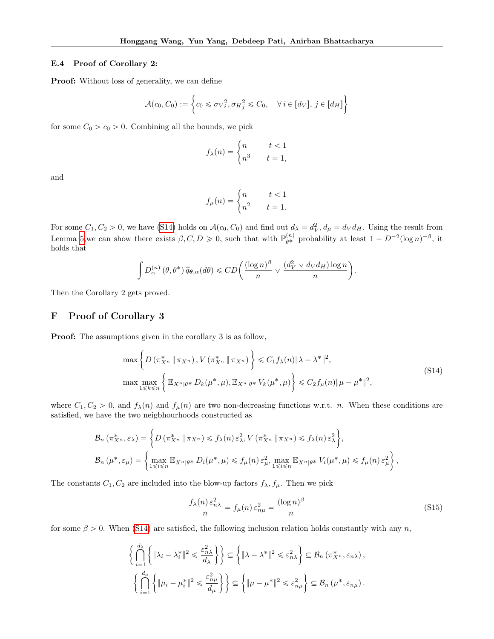### E.4 Proof of Corollary 2:

Proof: Without loss of generality, we can define

$$
\mathcal{A}(c_0, C_0) := \left\{ c_0 \leq \sigma_V^2, \sigma_H^2 \leq C_0, \quad \forall i \in [d_V], j \in [d_H] \right\}
$$

for some  $C_0 > c_0 > 0$ . Combining all the bounds, we pick

$$
f_{\lambda}(n) = \begin{cases} n & t < 1 \\ n^3 & t = 1, \end{cases}
$$

and

$$
f_{\mu}(n) = \begin{cases} n & t < 1 \\ n^2 & t = 1. \end{cases}
$$

For some  $C_1, C_2 > 0$ , we have [\(S14\)](#page-18-0) holds on  $\mathcal{A}(c_0, C_0)$  and find out  $d_{\lambda} = d_V^2, d_{\mu} = d_V d_H$ . Using the result from Lemma [5,](#page-19-0) we can show there exists  $\beta, C, D \geq 0$ , such that with  $\mathbb{P}_{\theta^*}^{(n)}$  probability at least  $1 - D^{-2} (\log n)^{-\beta}$ , it holds that

$$
\int D_{\alpha}^{(n)}(\theta,\theta^*)\,\widehat{q}_{\theta,\alpha}(d\theta) \leq CD\bigg(\frac{(\log n)^{\beta}}{n} \vee \frac{(d_V^2 \vee d_V d_H)\log n}{n}\bigg).
$$

Then the Corollary 2 gets proved.

## F Proof of Corollary 3

Proof: The assumptions given in the corollary 3 is as follow,

$$
\max \left\{ D \left( \pi_{X^n}^* \|\pi_{X^n} \right), V \left( \pi_{X^n}^* \|\pi_{X^n} \right) \right\} \leq C_1 f_\lambda(n) \|\lambda - \lambda^* \|^2,
$$
\n
$$
\max \max_{1 \leq k \leq n} \left\{ \mathbb{E}_{X^n | \theta^*} D_k(\mu^*, \mu), \mathbb{E}_{X^n | \theta^*} V_k(\mu^*, \mu) \right\} \leq C_2 f_\mu(n) \|\mu - \mu^* \|^2,
$$
\n
$$
(S14)
$$

where  $C_1, C_2 > 0$ , and  $f_{\lambda}(n)$  and  $f_{\mu}(n)$  are two non-decreasing functions w.r.t. n. When these conditions are satisfied, we have the two neigbhourhoods constructed as

$$
\mathcal{B}_{n}(\pi_{X^{n}}^{*}, \varepsilon_{\lambda}) = \left\{ D(\pi_{X^{n}}^{*} \| \pi_{X^{n}}) \leq f_{\lambda}(n) \varepsilon_{\lambda}^{2}, V(\pi_{X^{n}}^{*} \| \pi_{X^{n}}) \leq f_{\lambda}(n) \varepsilon_{\lambda}^{2} \right\},
$$
  

$$
\mathcal{B}_{n}(\mu^{*}, \varepsilon_{\mu}) = \left\{ \max_{1 \leq i \leq n} \mathbb{E}_{X^{n} | \theta^{*}} D_{i}(\mu^{*}, \mu) \leq f_{\mu}(n) \varepsilon_{\mu}^{2}, \max_{1 \leq i \leq n} \mathbb{E}_{X^{n} | \theta^{*}} V_{i}(\mu^{*}, \mu) \leq f_{\mu}(n) \varepsilon_{\mu}^{2} \right\},
$$

The constants  $C_1, C_2$  are included into the blow-up factors  $f_{\lambda}, f_{\mu}$ . Then we pick

<span id="page-18-1"></span><span id="page-18-0"></span>
$$
\frac{f_{\lambda}(n)\,\varepsilon_{n\lambda}^2}{n} = f_{\mu}(n)\,\varepsilon_{n\mu}^2 = \frac{(\log n)^{\beta}}{n} \tag{S15}
$$

for some  $\beta > 0$ . When [\(S14\)](#page-18-0) are satisfied, the following inclusion relation holds constantly with any n,

$$
\left\{\bigcap_{i=1}^{d_{\lambda}}\left\{\|\lambda_{i}-\lambda_{i}^{*}\|^{2} \leqslant \frac{\varepsilon_{n\lambda}^{2}}{d_{\lambda}}\right\}\right\} \subseteq \left\{\|\lambda-\lambda^{*}\|^{2} \leqslant \varepsilon_{n\lambda}^{2}\right\} \subseteq \mathcal{B}_{n} \left(\pi_{X^{n}}^{*}, \varepsilon_{n\lambda}\right),
$$

$$
\left\{\bigcap_{i=1}^{d_{\mu}}\left\{\|\mu_{i}-\mu_{i}^{*}\|^{2} \leqslant \frac{\varepsilon_{n\mu}^{2}}{d_{\mu}}\right\}\right\} \subseteq \left\{\|\mu-\mu^{*}\|^{2} \leqslant \varepsilon_{n\mu}^{2}\right\} \subseteq \mathcal{B}_{n} \left(\mu^{*}, \varepsilon_{n\mu}\right).
$$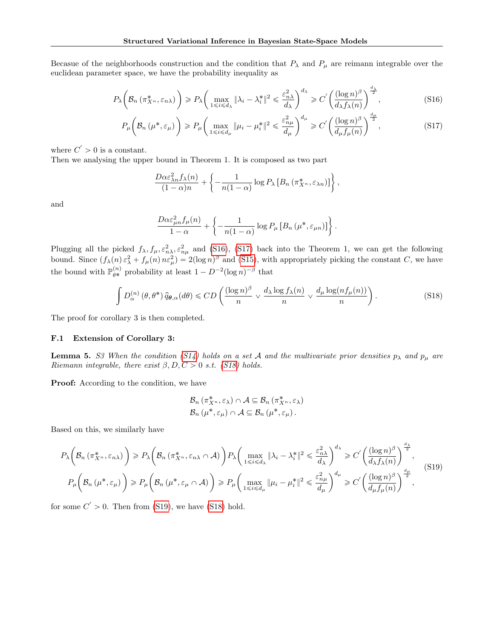Becasue of the neighborhoods construction and the condition that  $P_\lambda$  and  $P_\mu$  are reimann integrable over the euclidean parameter space, we have the probability inequality as

$$
P_{\lambda}\left(\mathcal{B}_{n}\left(\pi_{X^{n}}^{*}, \varepsilon_{n\lambda}\right)\right) \geqslant P_{\lambda}\left(\max_{1\leqslant i\leqslant d_{\lambda}}\|\lambda_{i}-\lambda_{i}^{*}\|^{2} \leqslant \frac{\varepsilon_{n\lambda}^{2}}{d_{\lambda}}\right)^{d_{\lambda}} \geqslant C'\left(\frac{(\log n)^{\beta}}{d_{\lambda}f_{\lambda}(n)}\right)^{\frac{d_{\lambda}}{2}},\tag{S16}
$$

$$
P_{\mu}\left(\mathcal{B}_{n}\left(\mu^{*},\varepsilon_{\mu}\right)\right) \ge P_{\mu}\left(\max_{1\leq i\leq d_{\mu}}\|\mu_{i}-\mu_{i}^{*}\|^{2}\leqslant \frac{\varepsilon_{n\mu}^{2}}{d_{\mu}}\right)^{d_{\mu}} \geqslant C'\left(\frac{(\log n)^{\beta}}{d_{\mu}f_{\mu}(n)}\right)^{\frac{d_{\mu}}{2}},\tag{S17}
$$

<span id="page-19-3"></span><span id="page-19-2"></span><span id="page-19-1"></span>,

where  $C' > 0$  is a constant.

Then we analysing the upper bound in Theorem 1. It is composed as two part

$$
\frac{D\alpha \varepsilon_{\lambda n}^2 f_\lambda(n)}{(1-\alpha)n} + \left\{-\frac{1}{n(1-\alpha)}\log P_\lambda \left[B_n\left(\pi_{X^n}^*, \varepsilon_{\lambda n}\right)\right]\right\}
$$

and

$$
\frac{D\alpha \varepsilon_{\mu n}^2 f_\mu(n)}{1-\alpha} + \left\{-\frac{1}{n(1-\alpha)}\log P_\mu\left[B_n\left(\mu^*, \varepsilon_{\mu n}\right)\right]\right\}.
$$

Plugging all the picked  $f_{\lambda}, f_{\mu}, \varepsilon_{n\lambda}^2, \varepsilon_{n\mu}^2$  and [\(S16\)](#page-19-1), [\(S17\)](#page-19-2) back into the Theorem 1, we can get the following bound. Since  $(f_{\lambda}(n) \varepsilon_{\lambda}^2 + f_{\mu}(n) n \varepsilon_{\mu}^2) = 2(\log n)^{\beta}$  and [\(S15\)](#page-18-1), with appropriately picking the constant C, we have the bound with  $\mathbb{P}_{\theta^*}^{(n)}$  probability at least  $1 - D^{-2}(\log n)^{-\beta}$  that

$$
\int D_{\alpha}^{(n)}(\theta,\theta^*)\,\hat{q}_{\theta,\alpha}(d\theta) \leq CD\left(\frac{(\log n)^{\beta}}{n} \vee \frac{d_{\lambda}\log f_{\lambda}(n)}{n} \vee \frac{d_{\mu}\log(n f_{\mu}(n))}{n}\right). \tag{S18}
$$

The proof for corollary 3 is then completed.

### F.1 Extension of Corollary 3:

<span id="page-19-0"></span>**Lemma 5.** S3 When the condition [\(S14\)](#page-18-0) holds on a set A and the multivariate prior densities  $p_{\lambda}$  and  $p_{\mu}$  are Riemann integrable, there exist  $\beta, D, C > 0$  s.t. [\(S18\)](#page-19-3) holds.

Proof: According to the condition, we have

<span id="page-19-4"></span>
$$
\mathcal{B}_{n}(\pi_{X^{n}}^{*}, \varepsilon_{\lambda}) \cap \mathcal{A} \subseteq \mathcal{B}_{n}(\pi_{X^{n}}^{*}, \varepsilon_{\lambda})
$$
  

$$
\mathcal{B}_{n}(\mu^{*}, \varepsilon_{\mu}) \cap \mathcal{A} \subseteq \mathcal{B}_{n}(\mu^{*}, \varepsilon_{\mu}).
$$

Based on this, we similarly have

$$
P_{\lambda}\left(\mathcal{B}_{n}\left(\pi_{X^{n}}^{*},\varepsilon_{n\lambda}\right)\right) \geq P_{\lambda}\left(\mathcal{B}_{n}\left(\pi_{X^{n}}^{*},\varepsilon_{n\lambda}\cap\mathcal{A}\right)\right)P_{\lambda}\left(\max_{1\leq i\leq d_{\lambda}}\|\lambda_{i}-\lambda_{i}^{*}\|^{2}\right) \leq \frac{\varepsilon_{n\lambda}^{2}}{d_{\lambda}}\right)^{d_{\lambda}} \geq C'\left(\frac{(\log n)^{\beta}}{d_{\lambda}f_{\lambda}(n)}\right)^{\frac{d_{\lambda}}{2}},
$$
\n
$$
P_{\mu}\left(\mathcal{B}_{n}\left(\mu^{*},\varepsilon_{\mu}\right)\right) \geq P_{\mu}\left(\mathcal{B}_{n}\left(\mu^{*},\varepsilon_{\mu}\cap\mathcal{A}\right)\right) \geq P_{\mu}\left(\max_{1\leq i\leq d_{\mu}}\|\mu_{i}-\mu_{i}^{*}\|^{2}\right) \leq \frac{\varepsilon_{n\mu}^{2}}{d_{\mu}}\right)^{d_{\mu}} \geq C'\left(\frac{(\log n)^{\beta}}{d_{\mu}f_{\mu}(n)}\right)^{\frac{d_{\mu}}{2}},
$$
\n
$$
(S19)
$$

for some  $C' > 0$ . Then from [\(S19\)](#page-19-4), we have [\(S18\)](#page-19-3) hold.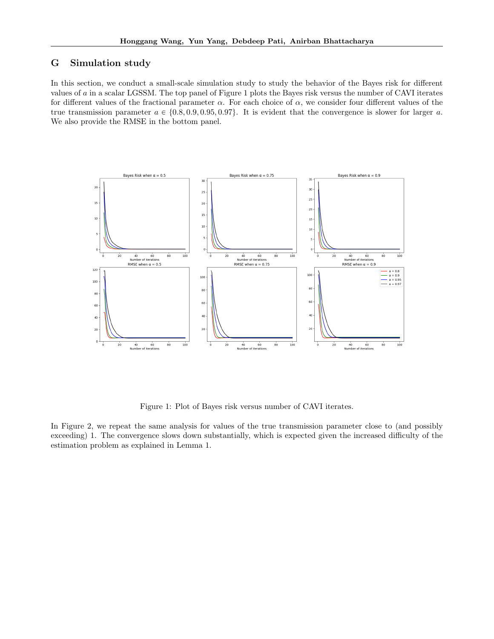# G Simulation study

In this section, we conduct a small-scale simulation study to study the behavior of the Bayes risk for different values of  $a$  in a scalar LGSSM. The top panel of Figure 1 plots the Bayes risk versus the number of CAVI iterates for different values of the fractional parameter  $\alpha$ . For each choice of  $\alpha$ , we consider four different values of the true transmission parameter  $a \in \{0.8, 0.9, 0.95, 0.97\}$ . It is evident that the convergence is slower for larger a. We also provide the RMSE in the bottom panel.



Figure 1: Plot of Bayes risk versus number of CAVI iterates.

In Figure 2, we repeat the same analysis for values of the true transmission parameter close to (and possibly exceeding) 1. The convergence slows down substantially, which is expected given the increased difficulty of the estimation problem as explained in Lemma 1.